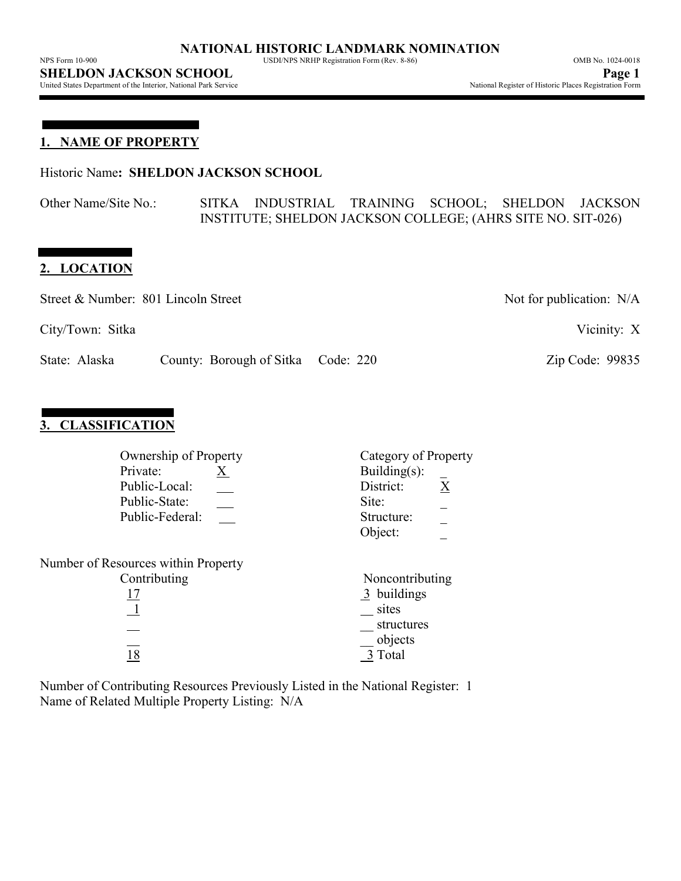United States Department of the Interior, National Park Service

**1. NAME OF PROPERTY**

Historic Name**: SHELDON JACKSON SCHOOL**

Other Name/Site No.: SITKA INDUSTRIAL TRAINING SCHOOL; SHELDON JACKSON INSTITUTE; SHELDON JACKSON COLLEGE; (AHRS SITE NO. SIT-026)

# **2. LOCATION**

| Street & Number: 801 Lincoln Street |                                    | Not for publication: $N/A$ |
|-------------------------------------|------------------------------------|----------------------------|
| City/Town: Sitka                    |                                    | Vicinity: X                |
| State: Alaska                       | County: Borough of Sitka Code: 220 | Zip Code: 99835            |

# **3. CLASSIFICATION**

| Private:<br>Public-Local:<br>Public-State:<br>Public-Federal: | Ownership of Property<br>X. | Category of Property<br>Building $(s)$ :<br>X<br>District:<br>Site:<br>Structure:<br>Object: |
|---------------------------------------------------------------|-----------------------------|----------------------------------------------------------------------------------------------|
| Number of Resources within Property                           |                             |                                                                                              |
| Contributing                                                  |                             | Noncontributing                                                                              |
| 17                                                            |                             | 3 buildings                                                                                  |
| $\perp$                                                       |                             | sites                                                                                        |
|                                                               |                             | structures                                                                                   |
|                                                               |                             | objects                                                                                      |
| 18                                                            |                             | 3 Total                                                                                      |
|                                                               |                             |                                                                                              |

Number of Contributing Resources Previously Listed in the National Register: 1 Name of Related Multiple Property Listing: N/A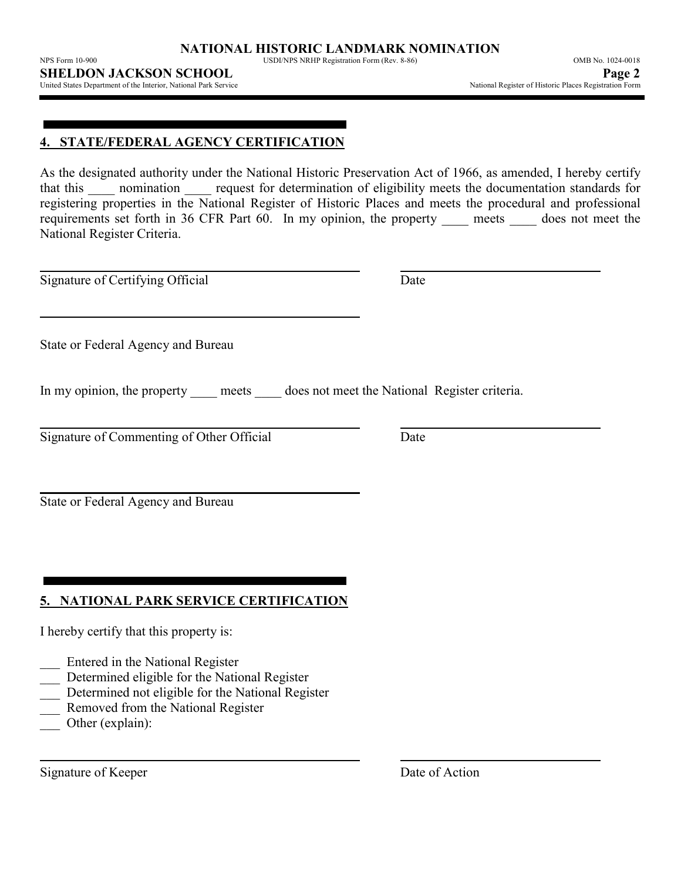NPS Form 10-900 USDI/NPS NRHP Registration Form (Rev. 8-86) OMB No. 1024-0018

United States Department of the Interior, National Park Service

## **4. STATE/FEDERAL AGENCY CERTIFICATION**

As the designated authority under the National Historic Preservation Act of 1966, as amended, I hereby certify that this incomination request for determination of eligibility meets the documentation standards for registering properties in the National Register of Historic Places and meets the procedural and professional requirements set forth in 36 CFR Part 60. In my opinion, the property \_\_\_\_ meets \_\_\_\_ does not meet the National Register Criteria.

Signature of Certifying Official Date

State or Federal Agency and Bureau

In my opinion, the property meets does not meet the National Register criteria.

Signature of Commenting of Other Official Date

State or Federal Agency and Bureau

# **5. NATIONAL PARK SERVICE CERTIFICATION**

I hereby certify that this property is:

- \_\_\_ Entered in the National Register
- Determined eligible for the National Register
- Determined not eligible for the National Register
- Removed from the National Register
- Other (explain):

Signature of Keeper Date of Action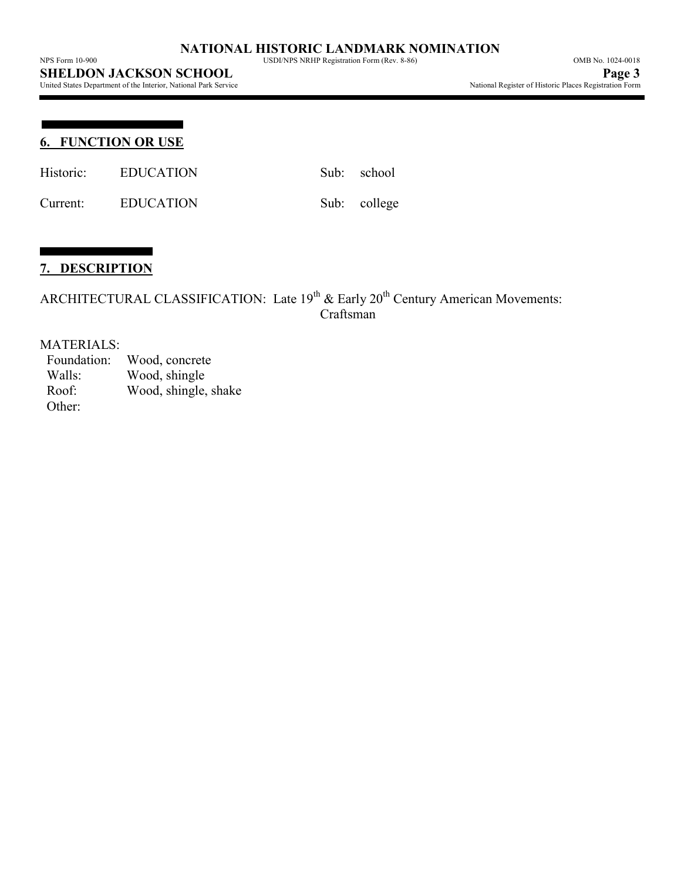United States Department of the Interior, National Park Service

## **6. FUNCTION OR USE**

Historic: EDUCATION Sub: school

Current: EDUCATION Sub: college

# **7. DESCRIPTION**

ARCHITECTURAL CLASSIFICATION: Late  $19^{th}$  & Early  $20^{th}$  Century American Movements: Craftsman

#### MATERIALS:

 Foundation: Wood, concrete Walls: Wood, shingle Roof: Wood, shingle, shake Other: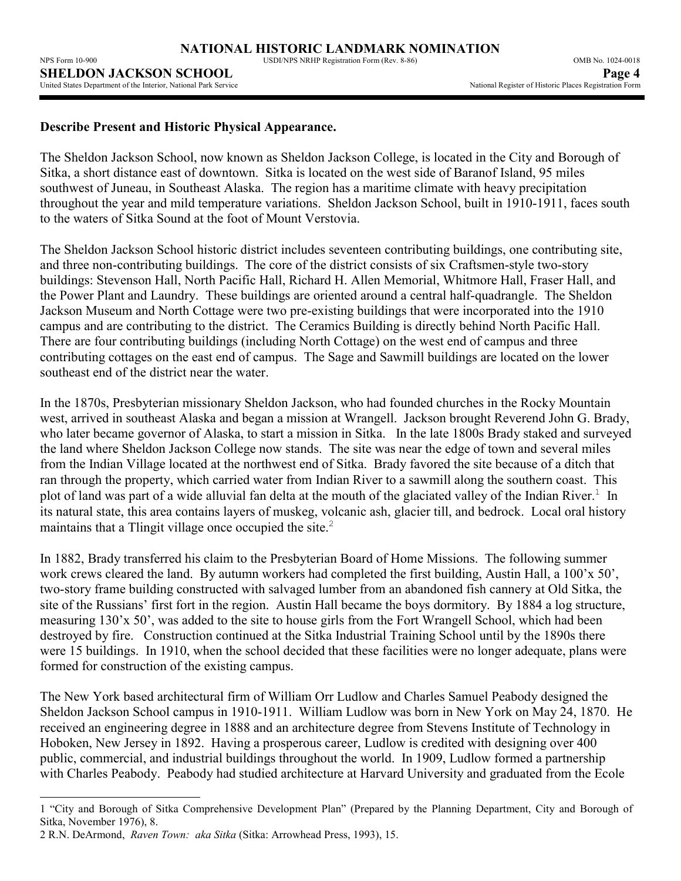## **Describe Present and Historic Physical Appearance.**

The Sheldon Jackson School, now known as Sheldon Jackson College, is located in the City and Borough of Sitka, a short distance east of downtown. Sitka is located on the west side of Baranof Island, 95 miles southwest of Juneau, in Southeast Alaska. The region has a maritime climate with heavy precipitation throughout the year and mild temperature variations. Sheldon Jackson School, built in 1910-1911, faces south to the waters of Sitka Sound at the foot of Mount Verstovia.

The Sheldon Jackson School historic district includes seventeen contributing buildings, one contributing site, and three non-contributing buildings. The core of the district consists of six Craftsmen-style two-story buildings: Stevenson Hall, North Pacific Hall, Richard H. Allen Memorial, Whitmore Hall, Fraser Hall, and the Power Plant and Laundry. These buildings are oriented around a central half-quadrangle. The Sheldon Jackson Museum and North Cottage were two pre-existing buildings that were incorporated into the 1910 campus and are contributing to the district. The Ceramics Building is directly behind North Pacific Hall. There are four contributing buildings (including North Cottage) on the west end of campus and three contributing cottages on the east end of campus. The Sage and Sawmill buildings are located on the lower southeast end of the district near the water.

In the 1870s, Presbyterian missionary Sheldon Jackson, who had founded churches in the Rocky Mountain west, arrived in southeast Alaska and began a mission at Wrangell. Jackson brought Reverend John G. Brady, who later became governor of Alaska, to start a mission in Sitka. In the late 1800s Brady staked and surveyed the land where Sheldon Jackson College now stands. The site was near the edge of town and several miles from the Indian Village located at the northwest end of Sitka. Brady favored the site because of a ditch that ran through the property, which carried water from Indian River to a sawmill along the southern coast. This plot of land was part of a wide alluvial fan delta at the mouth of the glaciated valley of the Indian River.<sup>1</sup> In its natural state, this area contains layers of muskeg, volcanic ash, glacier till, and bedrock. Local oral history maintains that a Tlingit village once occupied the site. $2$ 

In 1882, Brady transferred his claim to the Presbyterian Board of Home Missions. The following summer work crews cleared the land. By autumn workers had completed the first building, Austin Hall, a 100'x 50', two-story frame building constructed with salvaged lumber from an abandoned fish cannery at Old Sitka, the site of the Russians' first fort in the region. Austin Hall became the boys dormitory. By 1884 a log structure, measuring 130'x 50', was added to the site to house girls from the Fort Wrangell School, which had been destroyed by fire. Construction continued at the Sitka Industrial Training School until by the 1890s there were 15 buildings. In 1910, when the school decided that these facilities were no longer adequate, plans were formed for construction of the existing campus.

The New York based architectural firm of William Orr Ludlow and Charles Samuel Peabody designed the Sheldon Jackson School campus in 1910-1911. William Ludlow was born in New York on May 24, 1870. He received an engineering degree in 1888 and an architecture degree from Stevens Institute of Technology in Hoboken, New Jersey in 1892. Having a prosperous career, Ludlow is credited with designing over 400 public, commercial, and industrial buildings throughout the world. In 1909, Ludlow formed a partnership with Charles Peabody. Peabody had studied architecture at Harvard University and graduated from the Ecole

2 R.N. DeArmond, *Raven Town: aka Sitka* (Sitka: Arrowhead Press, 1993), 15.

 $\overline{a}$ 

<sup>1 &</sup>quot;City and Borough of Sitka Comprehensive Development Plan" (Prepared by the Planning Department, City and Borough of Sitka, November 1976), 8.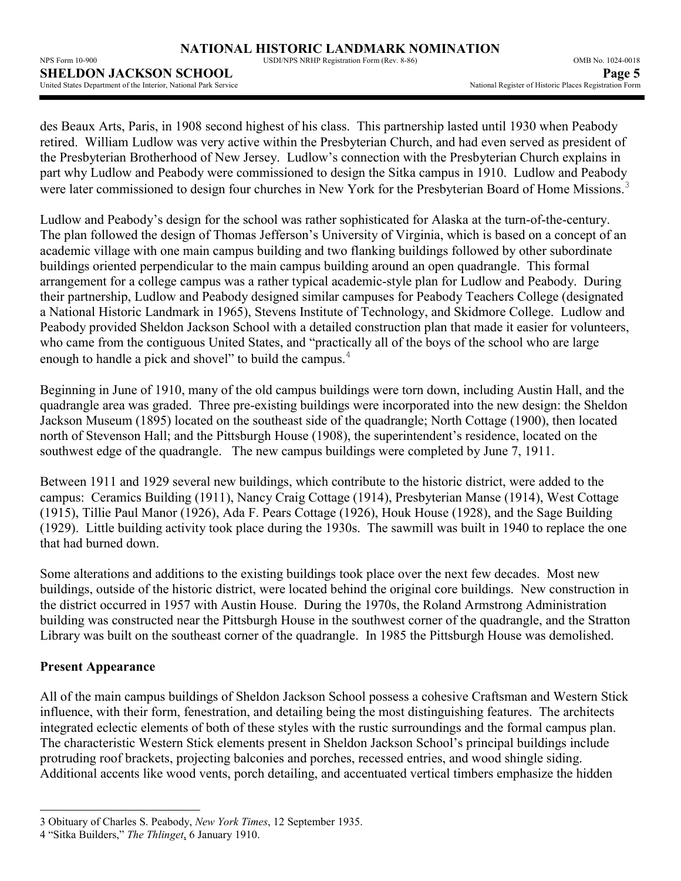| THE 9 FOLID TO -200                                             | OSDI/IN STARTH Registration Form (Rev. 0-60) | $O(N1D130.102 + 0010$                                  |
|-----------------------------------------------------------------|----------------------------------------------|--------------------------------------------------------|
| <b>SHELDON JACKSON SCHOOL</b>                                   |                                              | Page 5                                                 |
| United States Denartment of the Interior. National Park Service |                                              | National Register of Historic Places Registration Form |

des Beaux Arts, Paris, in 1908 second highest of his class. This partnership lasted until 1930 when Peabody retired. William Ludlow was very active within the Presbyterian Church, and had even served as president of the Presbyterian Brotherhood of New Jersey. Ludlow's connection with the Presbyterian Church explains in part why Ludlow and Peabody were commissioned to design the Sitka campus in 1910. Ludlow and Peabody were later commissioned to design four churches in New York for the Presbyterian Board of Home Missions.<sup>3</sup>

Ludlow and Peabody's design for the school was rather sophisticated for Alaska at the turn-of-the-century. The plan followed the design of Thomas Jefferson's University of Virginia, which is based on a concept of an academic village with one main campus building and two flanking buildings followed by other subordinate buildings oriented perpendicular to the main campus building around an open quadrangle. This formal arrangement for a college campus was a rather typical academic-style plan for Ludlow and Peabody. During their partnership, Ludlow and Peabody designed similar campuses for Peabody Teachers College (designated a National Historic Landmark in 1965), Stevens Institute of Technology, and Skidmore College. Ludlow and Peabody provided Sheldon Jackson School with a detailed construction plan that made it easier for volunteers, who came from the contiguous United States, and "practically all of the boys of the school who are large enough to handle a pick and shovel" to build the campus.<sup>4</sup>

Beginning in June of 1910, many of the old campus buildings were torn down, including Austin Hall, and the quadrangle area was graded. Three pre-existing buildings were incorporated into the new design: the Sheldon Jackson Museum (1895) located on the southeast side of the quadrangle; North Cottage (1900), then located north of Stevenson Hall; and the Pittsburgh House (1908), the superintendent's residence, located on the southwest edge of the quadrangle. The new campus buildings were completed by June 7, 1911.

Between 1911 and 1929 several new buildings, which contribute to the historic district, were added to the campus: Ceramics Building (1911), Nancy Craig Cottage (1914), Presbyterian Manse (1914), West Cottage (1915), Tillie Paul Manor (1926), Ada F. Pears Cottage (1926), Houk House (1928), and the Sage Building (1929). Little building activity took place during the 1930s. The sawmill was built in 1940 to replace the one that had burned down.

Some alterations and additions to the existing buildings took place over the next few decades. Most new buildings, outside of the historic district, were located behind the original core buildings. New construction in the district occurred in 1957 with Austin House. During the 1970s, the Roland Armstrong Administration building was constructed near the Pittsburgh House in the southwest corner of the quadrangle, and the Stratton Library was built on the southeast corner of the quadrangle. In 1985 the Pittsburgh House was demolished.

# **Present Appearance**

All of the main campus buildings of Sheldon Jackson School possess a cohesive Craftsman and Western Stick influence, with their form, fenestration, and detailing being the most distinguishing features. The architects integrated eclectic elements of both of these styles with the rustic surroundings and the formal campus plan. The characteristic Western Stick elements present in Sheldon Jackson School's principal buildings include protruding roof brackets, projecting balconies and porches, recessed entries, and wood shingle siding. Additional accents like wood vents, porch detailing, and accentuated vertical timbers emphasize the hidden

 $\overline{\phantom{a}}$ 3 Obituary of Charles S. Peabody, *New York Times*, 12 September 1935.

<sup>4 &</sup>quot;Sitka Builders," *The Thlinget*, 6 January 1910.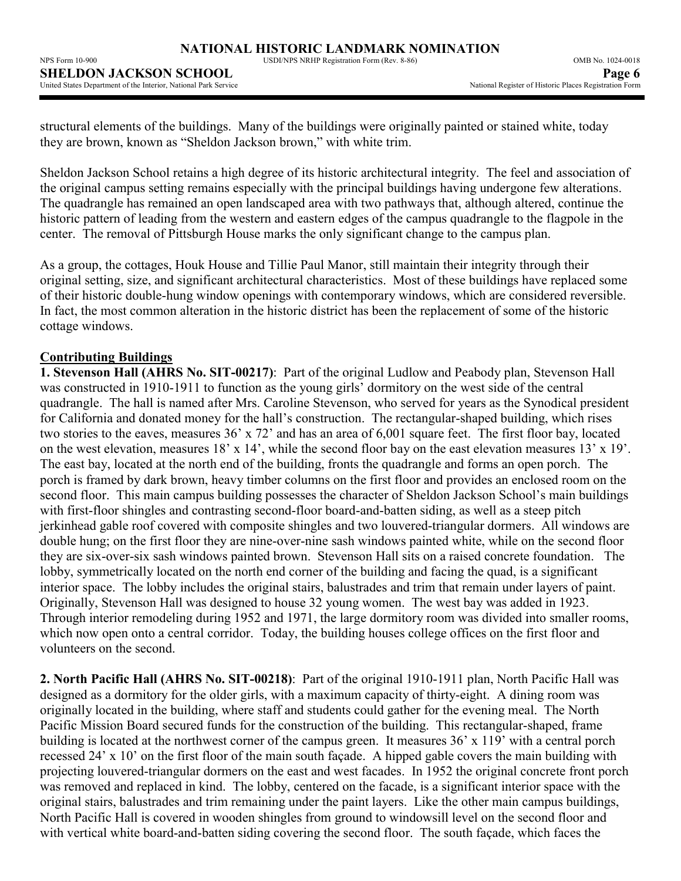$N = 100 \text{ N} = 100 \text{ N} = 100 \text{ N} = 100 \text{ N} = 100 \text{ N} = 100 \text{ N} = 100 \text{ N} = 100 \text{ N} = 100 \text{ N} = 100 \text{ N} = 100 \text{ N} = 100 \text{ N} = 100 \text{ N} = 100 \text{ N} = 100 \text{ N} = 100 \text{ N} = 100 \text{ N} = 100 \text{ N} = 100 \text{ N} = 100 \text{ N} = 100 \text{ N} = 100 \text{ N$ 

| NPS Form 10-900 -                                               | USDI/NPS NRHP Registration Form (Rev. 8-86) | <b>OMB No. 1024-0018</b>                               |
|-----------------------------------------------------------------|---------------------------------------------|--------------------------------------------------------|
| <b>SHELDON JACKSON SCHOOL</b>                                   |                                             | Page 6                                                 |
| United States Department of the Interior. National Park Service |                                             | National Register of Historic Places Registration Form |

structural elements of the buildings. Many of the buildings were originally painted or stained white, today they are brown, known as "Sheldon Jackson brown," with white trim.

Sheldon Jackson School retains a high degree of its historic architectural integrity. The feel and association of the original campus setting remains especially with the principal buildings having undergone few alterations. The quadrangle has remained an open landscaped area with two pathways that, although altered, continue the historic pattern of leading from the western and eastern edges of the campus quadrangle to the flagpole in the center. The removal of Pittsburgh House marks the only significant change to the campus plan.

As a group, the cottages, Houk House and Tillie Paul Manor, still maintain their integrity through their original setting, size, and significant architectural characteristics. Most of these buildings have replaced some of their historic double-hung window openings with contemporary windows, which are considered reversible. In fact, the most common alteration in the historic district has been the replacement of some of the historic cottage windows.

## **Contributing Buildings**

**1. Stevenson Hall (AHRS No. SIT-00217)**: Part of the original Ludlow and Peabody plan, Stevenson Hall was constructed in 1910-1911 to function as the young girls' dormitory on the west side of the central quadrangle. The hall is named after Mrs. Caroline Stevenson, who served for years as the Synodical president for California and donated money for the hall's construction. The rectangular-shaped building, which rises two stories to the eaves, measures 36' x 72' and has an area of 6,001 square feet. The first floor bay, located on the west elevation, measures 18' x 14', while the second floor bay on the east elevation measures 13' x 19'. The east bay, located at the north end of the building, fronts the quadrangle and forms an open porch. The porch is framed by dark brown, heavy timber columns on the first floor and provides an enclosed room on the second floor. This main campus building possesses the character of Sheldon Jackson School's main buildings with first-floor shingles and contrasting second-floor board-and-batten siding, as well as a steep pitch jerkinhead gable roof covered with composite shingles and two louvered-triangular dormers. All windows are double hung; on the first floor they are nine-over-nine sash windows painted white, while on the second floor they are six-over-six sash windows painted brown. Stevenson Hall sits on a raised concrete foundation. The lobby, symmetrically located on the north end corner of the building and facing the quad, is a significant interior space. The lobby includes the original stairs, balustrades and trim that remain under layers of paint. Originally, Stevenson Hall was designed to house 32 young women. The west bay was added in 1923. Through interior remodeling during 1952 and 1971, the large dormitory room was divided into smaller rooms, which now open onto a central corridor. Today, the building houses college offices on the first floor and volunteers on the second.

**2. North Pacific Hall (AHRS No. SIT-00218)**: Part of the original 1910-1911 plan, North Pacific Hall was designed as a dormitory for the older girls, with a maximum capacity of thirty-eight. A dining room was originally located in the building, where staff and students could gather for the evening meal. The North Pacific Mission Board secured funds for the construction of the building. This rectangular-shaped, frame building is located at the northwest corner of the campus green. It measures 36' x 119' with a central porch recessed 24' x 10' on the first floor of the main south façade. A hipped gable covers the main building with projecting louvered-triangular dormers on the east and west facades. In 1952 the original concrete front porch was removed and replaced in kind. The lobby, centered on the facade, is a significant interior space with the original stairs, balustrades and trim remaining under the paint layers. Like the other main campus buildings, North Pacific Hall is covered in wooden shingles from ground to windowsill level on the second floor and with vertical white board-and-batten siding covering the second floor. The south façade, which faces the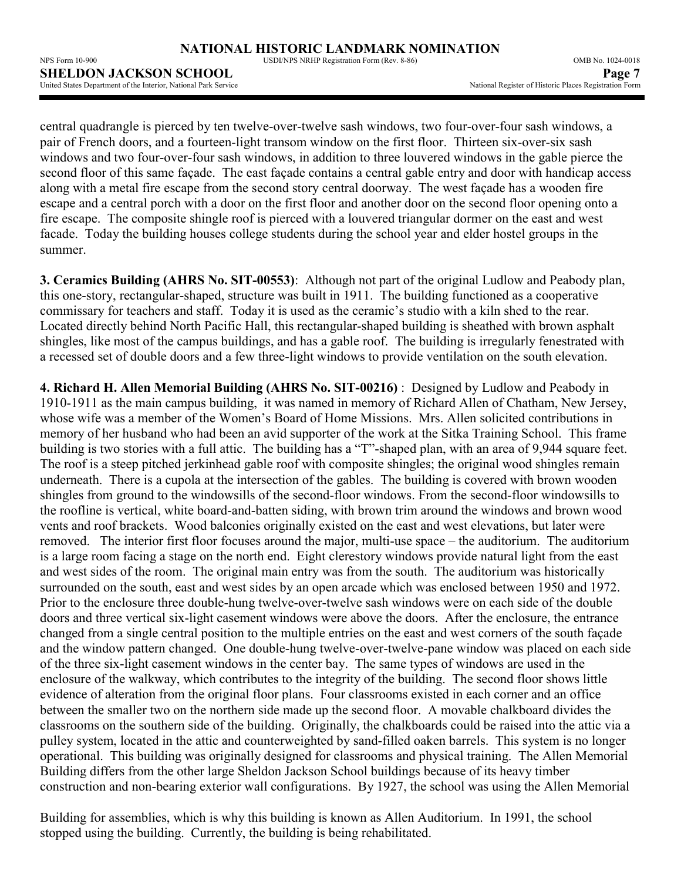**SHELDON JACKSON SCHOOL**<br>
United States Department of the Interior, National Park Service **Page 7**<br>
Page 7 Mational Register of Historic Places Registration Form United States Department of the Interior, National Park Service

central quadrangle is pierced by ten twelve-over-twelve sash windows, two four-over-four sash windows, a pair of French doors, and a fourteen-light transom window on the first floor. Thirteen six-over-six sash windows and two four-over-four sash windows, in addition to three louvered windows in the gable pierce the second floor of this same façade. The east façade contains a central gable entry and door with handicap access along with a metal fire escape from the second story central doorway. The west façade has a wooden fire escape and a central porch with a door on the first floor and another door on the second floor opening onto a fire escape. The composite shingle roof is pierced with a louvered triangular dormer on the east and west facade. Today the building houses college students during the school year and elder hostel groups in the summer.

**3. Ceramics Building (AHRS No. SIT-00553)**:Although not part of the original Ludlow and Peabody plan, this one-story, rectangular-shaped, structure was built in 1911. The building functioned as a cooperative commissary for teachers and staff. Today it is used as the ceramic's studio with a kiln shed to the rear. Located directly behind North Pacific Hall, this rectangular-shaped building is sheathed with brown asphalt shingles, like most of the campus buildings, and has a gable roof. The building is irregularly fenestrated with a recessed set of double doors and a few three-light windows to provide ventilation on the south elevation.

**4. Richard H. Allen Memorial Building (AHRS No. SIT-00216)** : Designed by Ludlow and Peabody in 1910-1911 as the main campus building, it was named in memory of Richard Allen of Chatham, New Jersey, whose wife was a member of the Women's Board of Home Missions. Mrs. Allen solicited contributions in memory of her husband who had been an avid supporter of the work at the Sitka Training School. This frame building is two stories with a full attic. The building has a "T"-shaped plan, with an area of 9,944 square feet. The roof is a steep pitched jerkinhead gable roof with composite shingles; the original wood shingles remain underneath. There is a cupola at the intersection of the gables. The building is covered with brown wooden shingles from ground to the windowsills of the second-floor windows. From the second-floor windowsills to the roofline is vertical, white board-and-batten siding, with brown trim around the windows and brown wood vents and roof brackets. Wood balconies originally existed on the east and west elevations, but later were removed. The interior first floor focuses around the major, multi-use space – the auditorium. The auditorium is a large room facing a stage on the north end. Eight clerestory windows provide natural light from the east and west sides of the room. The original main entry was from the south. The auditorium was historically surrounded on the south, east and west sides by an open arcade which was enclosed between 1950 and 1972. Prior to the enclosure three double-hung twelve-over-twelve sash windows were on each side of the double doors and three vertical six-light casement windows were above the doors. After the enclosure, the entrance changed from a single central position to the multiple entries on the east and west corners of the south façade and the window pattern changed. One double-hung twelve-over-twelve-pane window was placed on each side of the three six-light casement windows in the center bay. The same types of windows are used in the enclosure of the walkway, which contributes to the integrity of the building. The second floor shows little evidence of alteration from the original floor plans. Four classrooms existed in each corner and an office between the smaller two on the northern side made up the second floor. A movable chalkboard divides the classrooms on the southern side of the building. Originally, the chalkboards could be raised into the attic via a pulley system, located in the attic and counterweighted by sand-filled oaken barrels. This system is no longer operational. This building was originally designed for classrooms and physical training. The Allen Memorial Building differs from the other large Sheldon Jackson School buildings because of its heavy timber construction and non-bearing exterior wall configurations. By 1927, the school was using the Allen Memorial

Building for assemblies, which is why this building is known as Allen Auditorium. In 1991, the school stopped using the building. Currently, the building is being rehabilitated.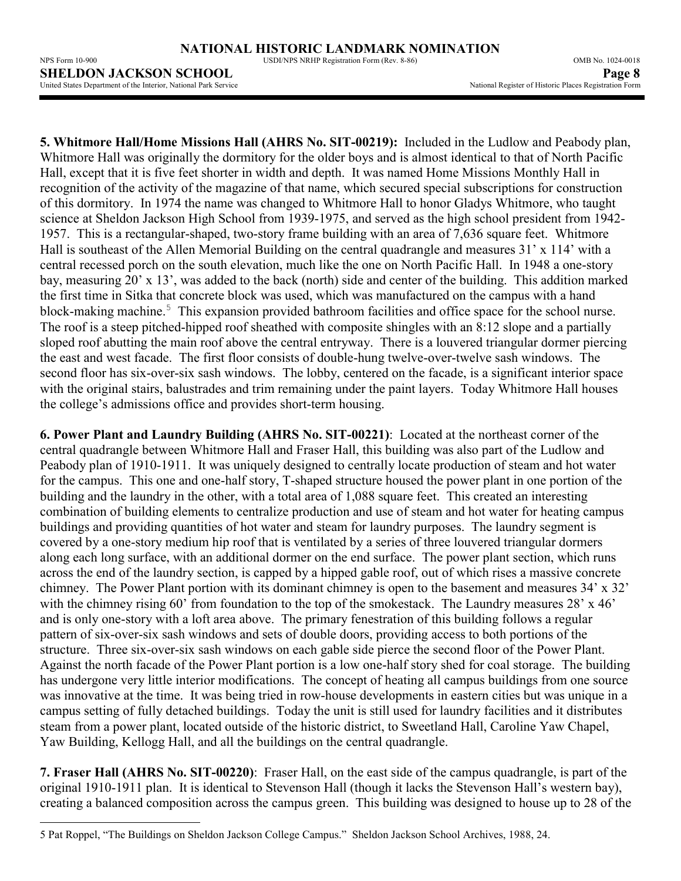NPS Form 10-900 USDI/NPS NRHP Registration Form (Rev. 8-86) OMB No. 1024-0018

**5. Whitmore Hall/Home Missions Hall (AHRS No. SIT-00219):** Included in the Ludlow and Peabody plan, Whitmore Hall was originally the dormitory for the older boys and is almost identical to that of North Pacific Hall, except that it is five feet shorter in width and depth. It was named Home Missions Monthly Hall in recognition of the activity of the magazine of that name, which secured special subscriptions for construction of this dormitory. In 1974 the name was changed to Whitmore Hall to honor Gladys Whitmore, who taught science at Sheldon Jackson High School from 1939-1975, and served as the high school president from 1942- 1957. This is a rectangular-shaped, two-story frame building with an area of 7,636 square feet. Whitmore Hall is southeast of the Allen Memorial Building on the central quadrangle and measures 31' x 114' with a central recessed porch on the south elevation, much like the one on North Pacific Hall. In 1948 a one-story bay, measuring 20' x 13', was added to the back (north) side and center of the building. This addition marked the first time in Sitka that concrete block was used, which was manufactured on the campus with a hand block-making machine.<sup>5</sup> This expansion provided bathroom facilities and office space for the school nurse. The roof is a steep pitched-hipped roof sheathed with composite shingles with an 8:12 slope and a partially sloped roof abutting the main roof above the central entryway. There is a louvered triangular dormer piercing the east and west facade. The first floor consists of double-hung twelve-over-twelve sash windows. The second floor has six-over-six sash windows. The lobby, centered on the facade, is a significant interior space with the original stairs, balustrades and trim remaining under the paint layers. Today Whitmore Hall houses the college's admissions office and provides short-term housing.

**6. Power Plant and Laundry Building (AHRS No. SIT-00221)**: Located at the northeast corner of the central quadrangle between Whitmore Hall and Fraser Hall, this building was also part of the Ludlow and Peabody plan of 1910-1911. It was uniquely designed to centrally locate production of steam and hot water for the campus. This one and one-half story, T-shaped structure housed the power plant in one portion of the building and the laundry in the other, with a total area of 1,088 square feet. This created an interesting combination of building elements to centralize production and use of steam and hot water for heating campus buildings and providing quantities of hot water and steam for laundry purposes. The laundry segment is covered by a one-story medium hip roof that is ventilated by a series of three louvered triangular dormers along each long surface, with an additional dormer on the end surface. The power plant section, which runs across the end of the laundry section, is capped by a hipped gable roof, out of which rises a massive concrete chimney. The Power Plant portion with its dominant chimney is open to the basement and measures 34' x 32' with the chimney rising 60' from foundation to the top of the smokestack. The Laundry measures 28' x 46' and is only one-story with a loft area above. The primary fenestration of this building follows a regular pattern of six-over-six sash windows and sets of double doors, providing access to both portions of the structure. Three six-over-six sash windows on each gable side pierce the second floor of the Power Plant. Against the north facade of the Power Plant portion is a low one-half story shed for coal storage. The building has undergone very little interior modifications. The concept of heating all campus buildings from one source was innovative at the time. It was being tried in row-house developments in eastern cities but was unique in a campus setting of fully detached buildings. Today the unit is still used for laundry facilities and it distributes steam from a power plant, located outside of the historic district, to Sweetland Hall, Caroline Yaw Chapel, Yaw Building, Kellogg Hall, and all the buildings on the central quadrangle.

**7. Fraser Hall (AHRS No. SIT-00220)**: Fraser Hall, on the east side of the campus quadrangle, is part of the original 1910-1911 plan. It is identical to Stevenson Hall (though it lacks the Stevenson Hall's western bay), creating a balanced composition across the campus green. This building was designed to house up to 28 of the

 $\overline{a}$ 5 Pat Roppel, "The Buildings on Sheldon Jackson College Campus." Sheldon Jackson School Archives, 1988, 24.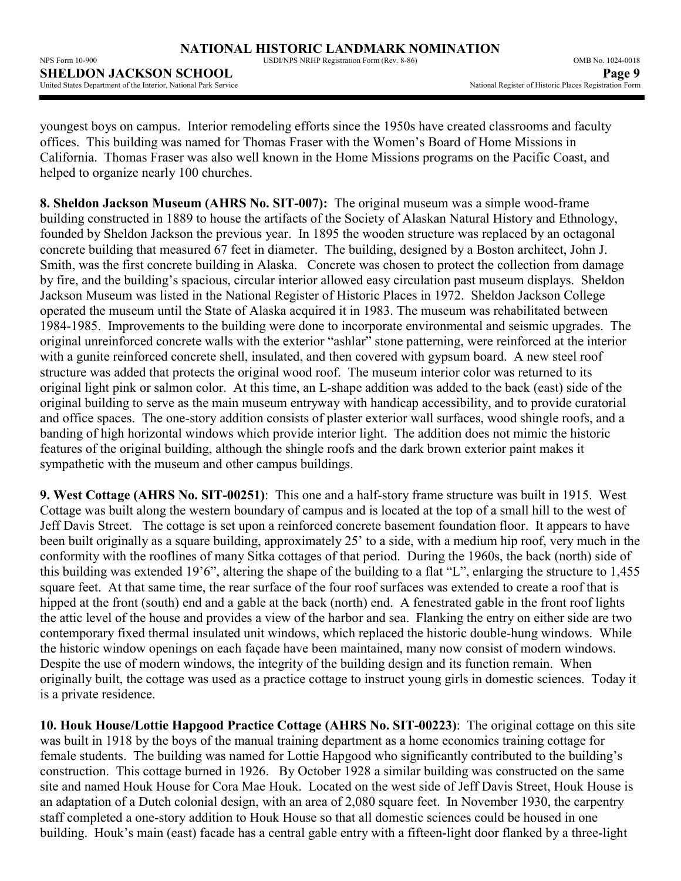NPS Form 10-900 USDI/NPS NRHP Registration Form (Rev. 8-86) OMB No. 1024-0018 **SHELDON JACKSON SCHOOL**<br>
United States Department of the Interior, National Park Service **Page 9**<br>
National Register of Historic Places Registration Form United States Department of the Interior, National Park Service

youngest boys on campus. Interior remodeling efforts since the 1950s have created classrooms and faculty offices. This building was named for Thomas Fraser with the Women's Board of Home Missions in California. Thomas Fraser was also well known in the Home Missions programs on the Pacific Coast, and helped to organize nearly 100 churches.

**8. Sheldon Jackson Museum (AHRS No. SIT-007):** The original museum was a simple wood-frame building constructed in 1889 to house the artifacts of the Society of Alaskan Natural History and Ethnology, founded by Sheldon Jackson the previous year. In 1895 the wooden structure was replaced by an octagonal concrete building that measured 67 feet in diameter. The building, designed by a Boston architect, John J. Smith, was the first concrete building in Alaska. Concrete was chosen to protect the collection from damage by fire, and the building's spacious, circular interior allowed easy circulation past museum displays. Sheldon Jackson Museum was listed in the National Register of Historic Places in 1972. Sheldon Jackson College operated the museum until the State of Alaska acquired it in 1983. The museum was rehabilitated between 1984-1985. Improvements to the building were done to incorporate environmental and seismic upgrades. The original unreinforced concrete walls with the exterior "ashlar" stone patterning, were reinforced at the interior with a gunite reinforced concrete shell, insulated, and then covered with gypsum board. A new steel roof structure was added that protects the original wood roof. The museum interior color was returned to its original light pink or salmon color. At this time, an L-shape addition was added to the back (east) side of the original building to serve as the main museum entryway with handicap accessibility, and to provide curatorial and office spaces. The one-story addition consists of plaster exterior wall surfaces, wood shingle roofs, and a banding of high horizontal windows which provide interior light. The addition does not mimic the historic features of the original building, although the shingle roofs and the dark brown exterior paint makes it sympathetic with the museum and other campus buildings.

**9. West Cottage (AHRS No. SIT-00251)**: This one and a half-story frame structure was built in 1915. West Cottage was built along the western boundary of campus and is located at the top of a small hill to the west of Jeff Davis Street. The cottage is set upon a reinforced concrete basement foundation floor. It appears to have been built originally as a square building, approximately 25' to a side, with a medium hip roof, very much in the conformity with the rooflines of many Sitka cottages of that period. During the 1960s, the back (north) side of this building was extended 19'6", altering the shape of the building to a flat "L", enlarging the structure to 1,455 square feet. At that same time, the rear surface of the four roof surfaces was extended to create a roof that is hipped at the front (south) end and a gable at the back (north) end. A fenestrated gable in the front roof lights the attic level of the house and provides a view of the harbor and sea. Flanking the entry on either side are two contemporary fixed thermal insulated unit windows, which replaced the historic double-hung windows. While the historic window openings on each façade have been maintained, many now consist of modern windows. Despite the use of modern windows, the integrity of the building design and its function remain. When originally built, the cottage was used as a practice cottage to instruct young girls in domestic sciences. Today it is a private residence.

**10. Houk House/Lottie Hapgood Practice Cottage (AHRS No. SIT-00223)**: The original cottage on this site was built in 1918 by the boys of the manual training department as a home economics training cottage for female students. The building was named for Lottie Hapgood who significantly contributed to the building's construction. This cottage burned in 1926. By October 1928 a similar building was constructed on the same site and named Houk House for Cora Mae Houk. Located on the west side of Jeff Davis Street, Houk House is an adaptation of a Dutch colonial design, with an area of 2,080 square feet. In November 1930, the carpentry staff completed a one-story addition to Houk House so that all domestic sciences could be housed in one building. Houk's main (east) facade has a central gable entry with a fifteen-light door flanked by a three-light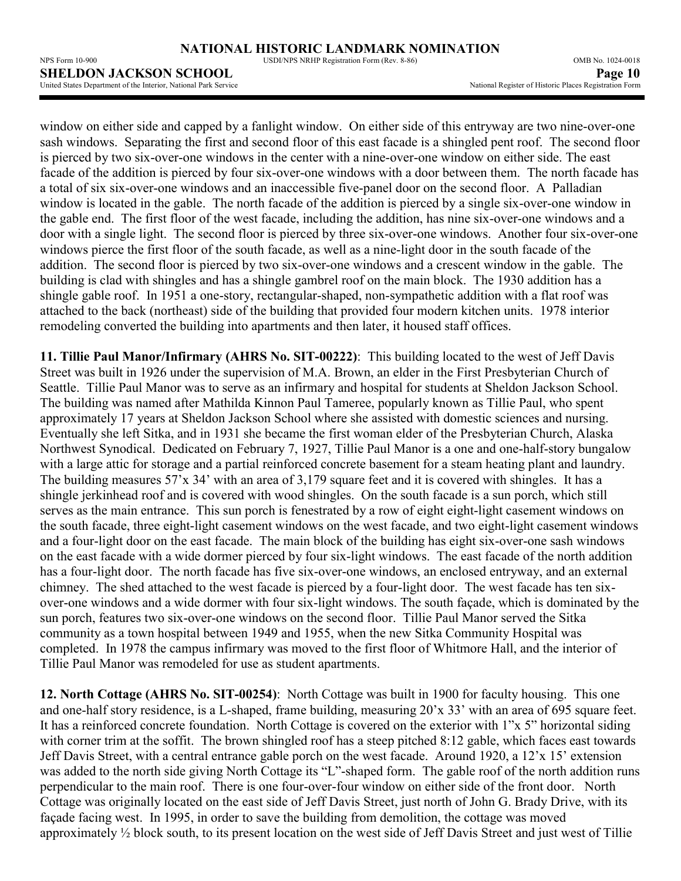window on either side and capped by a fanlight window. On either side of this entryway are two nine-over-one sash windows. Separating the first and second floor of this east facade is a shingled pent roof. The second floor is pierced by two six-over-one windows in the center with a nine-over-one window on either side. The east facade of the addition is pierced by four six-over-one windows with a door between them. The north facade has a total of six six-over-one windows and an inaccessible five-panel door on the second floor. A Palladian window is located in the gable. The north facade of the addition is pierced by a single six-over-one window in the gable end. The first floor of the west facade, including the addition, has nine six-over-one windows and a door with a single light. The second floor is pierced by three six-over-one windows. Another four six-over-one windows pierce the first floor of the south facade, as well as a nine-light door in the south facade of the addition. The second floor is pierced by two six-over-one windows and a crescent window in the gable. The building is clad with shingles and has a shingle gambrel roof on the main block. The 1930 addition has a shingle gable roof. In 1951 a one-story, rectangular-shaped, non-sympathetic addition with a flat roof was attached to the back (northeast) side of the building that provided four modern kitchen units. 1978 interior remodeling converted the building into apartments and then later, it housed staff offices.

**11. Tillie Paul Manor/Infirmary (AHRS No. SIT-00222)**:This building located to the west of Jeff Davis Street was built in 1926 under the supervision of M.A. Brown, an elder in the First Presbyterian Church of Seattle. Tillie Paul Manor was to serve as an infirmary and hospital for students at Sheldon Jackson School. The building was named after Mathilda Kinnon Paul Tameree, popularly known as Tillie Paul, who spent approximately 17 years at Sheldon Jackson School where she assisted with domestic sciences and nursing. Eventually she left Sitka, and in 1931 she became the first woman elder of the Presbyterian Church, Alaska Northwest Synodical. Dedicated on February 7, 1927, Tillie Paul Manor is a one and one-half-story bungalow with a large attic for storage and a partial reinforced concrete basement for a steam heating plant and laundry. The building measures 57'x 34' with an area of 3,179 square feet and it is covered with shingles. It has a shingle jerkinhead roof and is covered with wood shingles. On the south facade is a sun porch, which still serves as the main entrance. This sun porch is fenestrated by a row of eight eight-light casement windows on the south facade, three eight-light casement windows on the west facade, and two eight-light casement windows and a four-light door on the east facade. The main block of the building has eight six-over-one sash windows on the east facade with a wide dormer pierced by four six-light windows. The east facade of the north addition has a four-light door. The north facade has five six-over-one windows, an enclosed entryway, and an external chimney. The shed attached to the west facade is pierced by a four-light door. The west facade has ten sixover-one windows and a wide dormer with four six-light windows. The south façade, which is dominated by the sun porch, features two six-over-one windows on the second floor. Tillie Paul Manor served the Sitka community as a town hospital between 1949 and 1955, when the new Sitka Community Hospital was completed. In 1978 the campus infirmary was moved to the first floor of Whitmore Hall, and the interior of Tillie Paul Manor was remodeled for use as student apartments.

**12. North Cottage (AHRS No. SIT-00254)**:North Cottage was built in 1900 for faculty housing. This one and one-half story residence, is a L-shaped, frame building, measuring 20'x 33' with an area of 695 square feet. It has a reinforced concrete foundation. North Cottage is covered on the exterior with 1"x 5" horizontal siding with corner trim at the soffit. The brown shingled roof has a steep pitched 8:12 gable, which faces east towards Jeff Davis Street, with a central entrance gable porch on the west facade. Around 1920, a 12'x 15' extension was added to the north side giving North Cottage its "L"-shaped form. The gable roof of the north addition runs perpendicular to the main roof. There is one four-over-four window on either side of the front door. North Cottage was originally located on the east side of Jeff Davis Street, just north of John G. Brady Drive, with its façade facing west. In 1995, in order to save the building from demolition, the cottage was moved approximately ½ block south, to its present location on the west side of Jeff Davis Street and just west of Tillie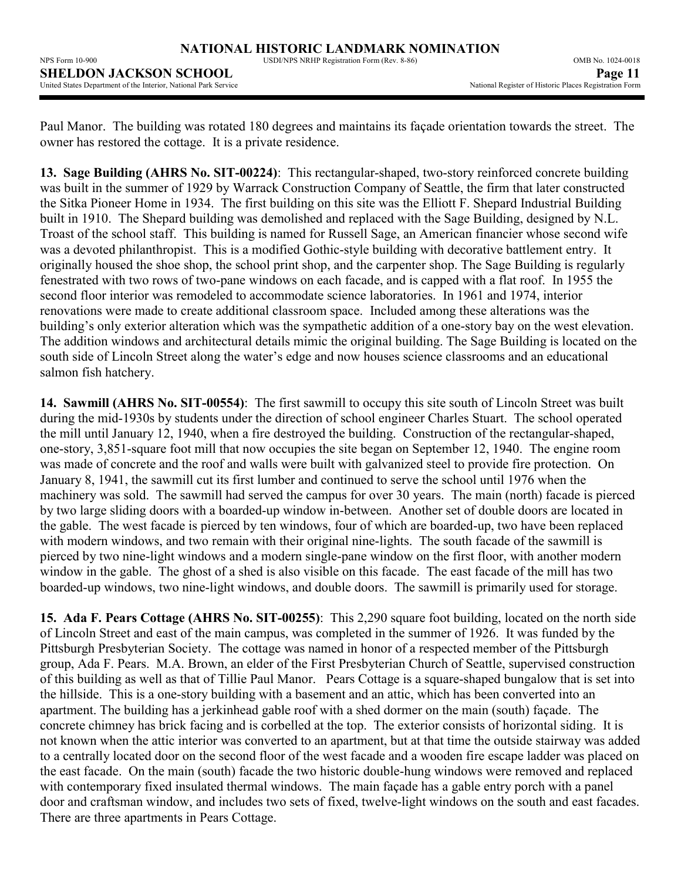NPS Form 10-900 USDI/NPS NRHP Registration Form (Rev. 8-86) OMB No. 1024-0018 **SHELDON JACKSON SCHOOL**<br>
United States Department of the Interior, National Park Service **Page 11**<br>
Page 11 United States Department of the Interior, National Park Service

Paul Manor. The building was rotated 180 degrees and maintains its façade orientation towards the street. The owner has restored the cottage. It is a private residence.

**13. Sage Building (AHRS No. SIT-00224)**: This rectangular-shaped, two-story reinforced concrete building was built in the summer of 1929 by Warrack Construction Company of Seattle, the firm that later constructed the Sitka Pioneer Home in 1934. The first building on this site was the Elliott F. Shepard Industrial Building built in 1910. The Shepard building was demolished and replaced with the Sage Building, designed by N.L. Troast of the school staff. This building is named for Russell Sage, an American financier whose second wife was a devoted philanthropist. This is a modified Gothic-style building with decorative battlement entry. It originally housed the shoe shop, the school print shop, and the carpenter shop. The Sage Building is regularly fenestrated with two rows of two-pane windows on each facade, and is capped with a flat roof. In 1955 the second floor interior was remodeled to accommodate science laboratories. In 1961 and 1974, interior renovations were made to create additional classroom space. Included among these alterations was the building's only exterior alteration which was the sympathetic addition of a one-story bay on the west elevation. The addition windows and architectural details mimic the original building. The Sage Building is located on the south side of Lincoln Street along the water's edge and now houses science classrooms and an educational salmon fish hatchery.

**14. Sawmill (AHRS No. SIT-00554)**: The first sawmill to occupy this site south of Lincoln Street was built during the mid-1930s by students under the direction of school engineer Charles Stuart. The school operated the mill until January 12, 1940, when a fire destroyed the building. Construction of the rectangular-shaped, one-story, 3,851-square foot mill that now occupies the site began on September 12, 1940. The engine room was made of concrete and the roof and walls were built with galvanized steel to provide fire protection. On January 8, 1941, the sawmill cut its first lumber and continued to serve the school until 1976 when the machinery was sold. The sawmill had served the campus for over 30 years. The main (north) facade is pierced by two large sliding doors with a boarded-up window in-between. Another set of double doors are located in the gable. The west facade is pierced by ten windows, four of which are boarded-up, two have been replaced with modern windows, and two remain with their original nine-lights. The south facade of the sawmill is pierced by two nine-light windows and a modern single-pane window on the first floor, with another modern window in the gable. The ghost of a shed is also visible on this facade. The east facade of the mill has two boarded-up windows, two nine-light windows, and double doors. The sawmill is primarily used for storage.

**15. Ada F. Pears Cottage (AHRS No. SIT-00255)**: This 2,290 square foot building, located on the north side of Lincoln Street and east of the main campus, was completed in the summer of 1926. It was funded by the Pittsburgh Presbyterian Society. The cottage was named in honor of a respected member of the Pittsburgh group, Ada F. Pears. M.A. Brown, an elder of the First Presbyterian Church of Seattle, supervised construction of this building as well as that of Tillie Paul Manor. Pears Cottage is a square-shaped bungalow that is set into the hillside. This is a one-story building with a basement and an attic, which has been converted into an apartment. The building has a jerkinhead gable roof with a shed dormer on the main (south) façade. The concrete chimney has brick facing and is corbelled at the top. The exterior consists of horizontal siding. It is not known when the attic interior was converted to an apartment, but at that time the outside stairway was added to a centrally located door on the second floor of the west facade and a wooden fire escape ladder was placed on the east facade. On the main (south) facade the two historic double-hung windows were removed and replaced with contemporary fixed insulated thermal windows. The main façade has a gable entry porch with a panel door and craftsman window, and includes two sets of fixed, twelve-light windows on the south and east facades. There are three apartments in Pears Cottage.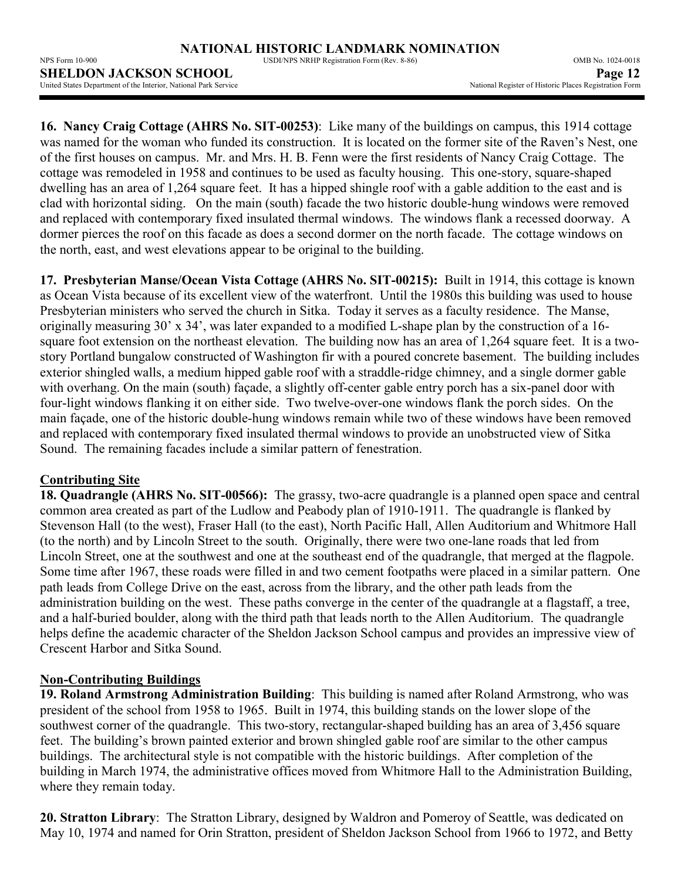| NPS Form 10-900                                                        | USDI/NPS NRHP Registration Form (Rev. 8-86) | OMB No. 1024-0018                                      |
|------------------------------------------------------------------------|---------------------------------------------|--------------------------------------------------------|
| <b>SHELDON JACKSON SCHOOL</b>                                          |                                             | Page 12                                                |
| <b>Linitad States Department of the Interior National Park Service</b> |                                             | National Register of Historic Places Registration Form |

**16. Nancy Craig Cottage (AHRS No. SIT-00253)**: Like many of the buildings on campus, this 1914 cottage was named for the woman who funded its construction. It is located on the former site of the Raven's Nest, one of the first houses on campus. Mr. and Mrs. H. B. Fenn were the first residents of Nancy Craig Cottage. The cottage was remodeled in 1958 and continues to be used as faculty housing. This one-story, square-shaped dwelling has an area of 1,264 square feet. It has a hipped shingle roof with a gable addition to the east and is clad with horizontal siding. On the main (south) facade the two historic double-hung windows were removed and replaced with contemporary fixed insulated thermal windows. The windows flank a recessed doorway. A dormer pierces the roof on this facade as does a second dormer on the north facade. The cottage windows on the north, east, and west elevations appear to be original to the building.

**17. Presbyterian Manse/Ocean Vista Cottage (AHRS No. SIT-00215):** Built in 1914, this cottage is known as Ocean Vista because of its excellent view of the waterfront. Until the 1980s this building was used to house Presbyterian ministers who served the church in Sitka. Today it serves as a faculty residence. The Manse, originally measuring 30' x 34', was later expanded to a modified L-shape plan by the construction of a 16 square foot extension on the northeast elevation. The building now has an area of 1,264 square feet. It is a twostory Portland bungalow constructed of Washington fir with a poured concrete basement. The building includes exterior shingled walls, a medium hipped gable roof with a straddle-ridge chimney, and a single dormer gable with overhang. On the main (south) façade, a slightly off-center gable entry porch has a six-panel door with four-light windows flanking it on either side. Two twelve-over-one windows flank the porch sides. On the main façade, one of the historic double-hung windows remain while two of these windows have been removed and replaced with contemporary fixed insulated thermal windows to provide an unobstructed view of Sitka Sound. The remaining facades include a similar pattern of fenestration.

# **Contributing Site**

**18. Quadrangle (AHRS No. SIT-00566):** The grassy, two-acre quadrangle is a planned open space and central common area created as part of the Ludlow and Peabody plan of 1910-1911. The quadrangle is flanked by Stevenson Hall (to the west), Fraser Hall (to the east), North Pacific Hall, Allen Auditorium and Whitmore Hall (to the north) and by Lincoln Street to the south. Originally, there were two one-lane roads that led from Lincoln Street, one at the southwest and one at the southeast end of the quadrangle, that merged at the flagpole. Some time after 1967, these roads were filled in and two cement footpaths were placed in a similar pattern. One path leads from College Drive on the east, across from the library, and the other path leads from the administration building on the west. These paths converge in the center of the quadrangle at a flagstaff, a tree, and a half-buried boulder, along with the third path that leads north to the Allen Auditorium. The quadrangle helps define the academic character of the Sheldon Jackson School campus and provides an impressive view of Crescent Harbor and Sitka Sound.

### **Non-Contributing Buildings**

**19. Roland Armstrong Administration Building**: This building is named after Roland Armstrong, who was president of the school from 1958 to 1965. Built in 1974, this building stands on the lower slope of the southwest corner of the quadrangle. This two-story, rectangular-shaped building has an area of 3,456 square feet. The building's brown painted exterior and brown shingled gable roof are similar to the other campus buildings. The architectural style is not compatible with the historic buildings. After completion of the building in March 1974, the administrative offices moved from Whitmore Hall to the Administration Building, where they remain today.

**20. Stratton Library**:The Stratton Library, designed by Waldron and Pomeroy of Seattle, was dedicated on May 10, 1974 and named for Orin Stratton, president of Sheldon Jackson School from 1966 to 1972, and Betty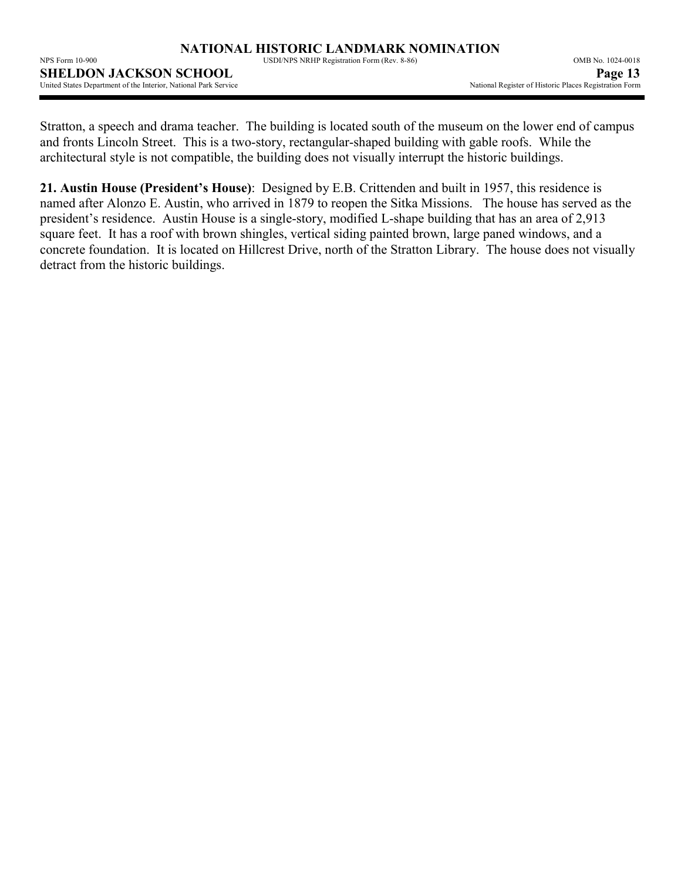NPS Form 10-900 USDI/NPS NRHP Registration Form (Rev. 8-86) OMB No. 1024-0018

**SHELDON JACKSON SCHOOL**<br>
United States Department of the Interior, National Park Service<br>
Page 13<br>
Park Service Mational Register of Historic Places Registration Form United States Department of the Interior, National Park Service

Stratton, a speech and drama teacher. The building is located south of the museum on the lower end of campus and fronts Lincoln Street. This is a two-story, rectangular-shaped building with gable roofs. While the architectural style is not compatible, the building does not visually interrupt the historic buildings.

**21. Austin House (President's House)**: Designed by E.B. Crittenden and built in 1957, this residence is named after Alonzo E. Austin, who arrived in 1879 to reopen the Sitka Missions. The house has served as the president's residence. Austin House is a single-story, modified L-shape building that has an area of 2,913 square feet. It has a roof with brown shingles, vertical siding painted brown, large paned windows, and a concrete foundation. It is located on Hillcrest Drive, north of the Stratton Library. The house does not visually detract from the historic buildings.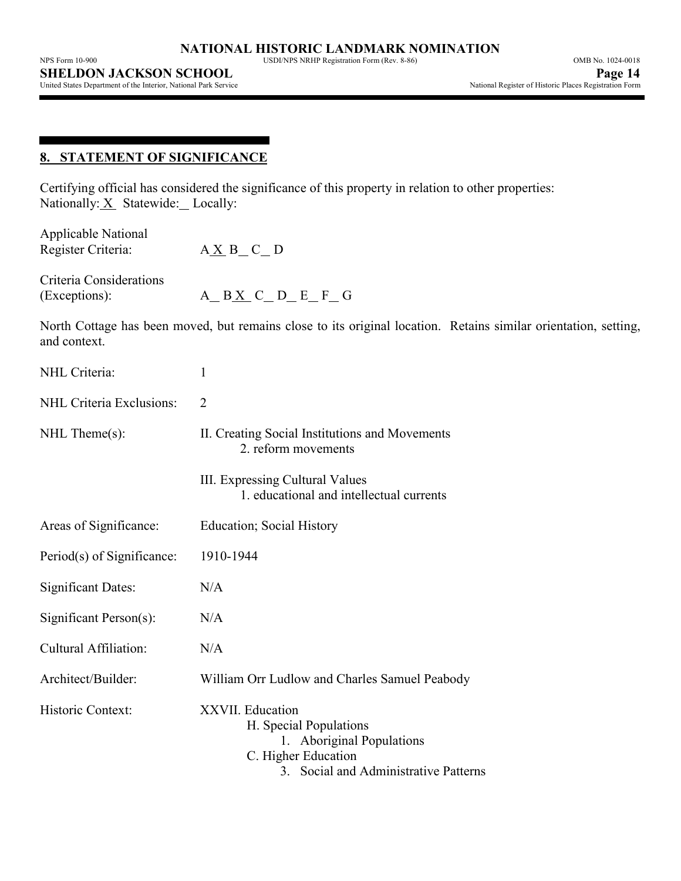United States Department of the Interior, National Park Service

# **8. STATEMENT OF SIGNIFICANCE**

Certifying official has considered the significance of this property in relation to other properties: Nationally:  $X$  Statewide: Locally:

| <b>Applicable National</b><br>Register Criteria: | $A \underline{X} B_C$ D                                                                                                                 |
|--------------------------------------------------|-----------------------------------------------------------------------------------------------------------------------------------------|
| Criteria Considerations<br>(Exceptions):         | $A$ $B X$ $C$ $D$ $E$ $F$ $G$                                                                                                           |
| and context.                                     | North Cottage has been moved, but remains close to its original location. Retains similar orientation, setting,                         |
| NHL Criteria:                                    | $\mathbf{1}$                                                                                                                            |
| NHL Criteria Exclusions:                         | $\overline{2}$                                                                                                                          |
| $NHL$ Theme $(s)$ :                              | II. Creating Social Institutions and Movements<br>2. reform movements                                                                   |
|                                                  | III. Expressing Cultural Values<br>1. educational and intellectual currents                                                             |
| Areas of Significance:                           | <b>Education</b> ; Social History                                                                                                       |
| Period(s) of Significance:                       | 1910-1944                                                                                                                               |
| <b>Significant Dates:</b>                        | N/A                                                                                                                                     |
| Significant Person(s):                           | N/A                                                                                                                                     |
| <b>Cultural Affiliation:</b>                     | N/A                                                                                                                                     |
| Architect/Builder:                               | William Orr Ludlow and Charles Samuel Peabody                                                                                           |
| Historic Context:                                | XXVII. Education<br>H. Special Populations<br>1. Aboriginal Populations<br>C. Higher Education<br>3. Social and Administrative Patterns |
|                                                  |                                                                                                                                         |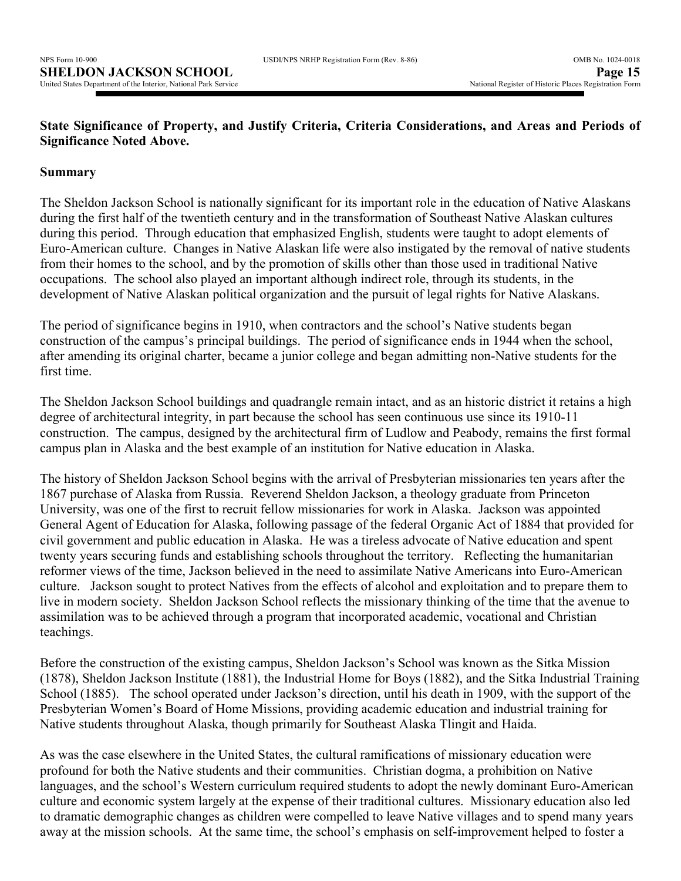# **State Significance of Property, and Justify Criteria, Criteria Considerations, and Areas and Periods of Significance Noted Above.**

# **Summary**

The Sheldon Jackson School is nationally significant for its important role in the education of Native Alaskans during the first half of the twentieth century and in the transformation of Southeast Native Alaskan cultures during this period. Through education that emphasized English, students were taught to adopt elements of Euro-American culture. Changes in Native Alaskan life were also instigated by the removal of native students from their homes to the school, and by the promotion of skills other than those used in traditional Native occupations. The school also played an important although indirect role, through its students, in the development of Native Alaskan political organization and the pursuit of legal rights for Native Alaskans.

The period of significance begins in 1910, when contractors and the school's Native students began construction of the campus's principal buildings. The period of significance ends in 1944 when the school, after amending its original charter, became a junior college and began admitting non-Native students for the first time.

The Sheldon Jackson School buildings and quadrangle remain intact, and as an historic district it retains a high degree of architectural integrity, in part because the school has seen continuous use since its 1910-11 construction. The campus, designed by the architectural firm of Ludlow and Peabody, remains the first formal campus plan in Alaska and the best example of an institution for Native education in Alaska.

The history of Sheldon Jackson School begins with the arrival of Presbyterian missionaries ten years after the 1867 purchase of Alaska from Russia. Reverend Sheldon Jackson, a theology graduate from Princeton University, was one of the first to recruit fellow missionaries for work in Alaska. Jackson was appointed General Agent of Education for Alaska, following passage of the federal Organic Act of 1884 that provided for civil government and public education in Alaska. He was a tireless advocate of Native education and spent twenty years securing funds and establishing schools throughout the territory. Reflecting the humanitarian reformer views of the time, Jackson believed in the need to assimilate Native Americans into Euro-American culture. Jackson sought to protect Natives from the effects of alcohol and exploitation and to prepare them to live in modern society. Sheldon Jackson School reflects the missionary thinking of the time that the avenue to assimilation was to be achieved through a program that incorporated academic, vocational and Christian teachings.

Before the construction of the existing campus, Sheldon Jackson's School was known as the Sitka Mission (1878), Sheldon Jackson Institute (1881), the Industrial Home for Boys (1882), and the Sitka Industrial Training School (1885). The school operated under Jackson's direction, until his death in 1909, with the support of the Presbyterian Women's Board of Home Missions, providing academic education and industrial training for Native students throughout Alaska, though primarily for Southeast Alaska Tlingit and Haida.

As was the case elsewhere in the United States, the cultural ramifications of missionary education were profound for both the Native students and their communities. Christian dogma, a prohibition on Native languages, and the school's Western curriculum required students to adopt the newly dominant Euro-American culture and economic system largely at the expense of their traditional cultures. Missionary education also led to dramatic demographic changes as children were compelled to leave Native villages and to spend many years away at the mission schools. At the same time, the school's emphasis on self-improvement helped to foster a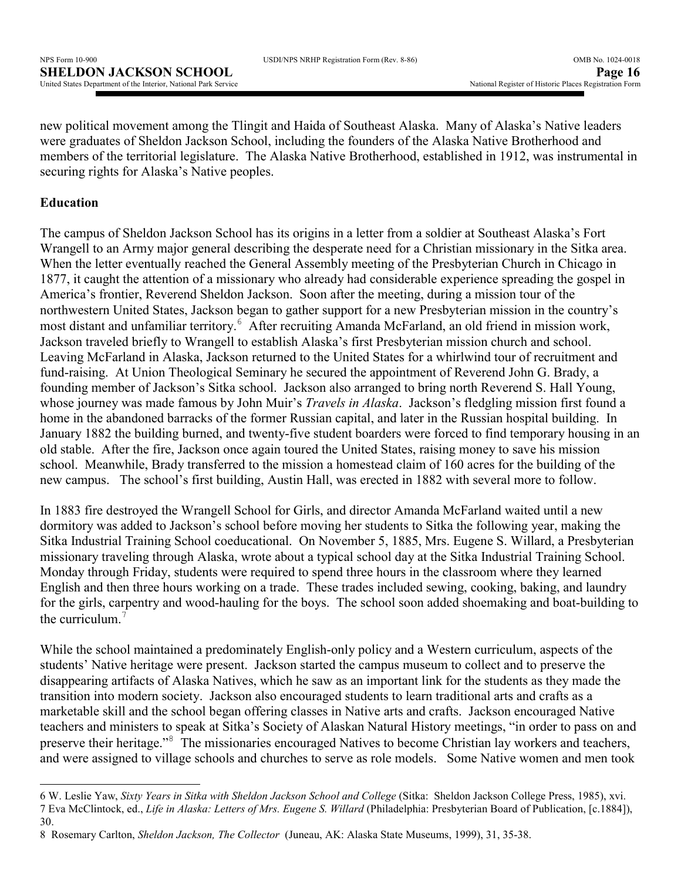new political movement among the Tlingit and Haida of Southeast Alaska. Many of Alaska's Native leaders were graduates of Sheldon Jackson School, including the founders of the Alaska Native Brotherhood and members of the territorial legislature. The Alaska Native Brotherhood, established in 1912, was instrumental in securing rights for Alaska's Native peoples.

# **Education**

l

The campus of Sheldon Jackson School has its origins in a letter from a soldier at Southeast Alaska's Fort Wrangell to an Army major general describing the desperate need for a Christian missionary in the Sitka area. When the letter eventually reached the General Assembly meeting of the Presbyterian Church in Chicago in 1877, it caught the attention of a missionary who already had considerable experience spreading the gospel in America's frontier, Reverend Sheldon Jackson. Soon after the meeting, during a mission tour of the northwestern United States, Jackson began to gather support for a new Presbyterian mission in the country's most distant and unfamiliar territory.<sup>6</sup> After recruiting Amanda McFarland, an old friend in mission work, Jackson traveled briefly to Wrangell to establish Alaska's first Presbyterian mission church and school. Leaving McFarland in Alaska, Jackson returned to the United States for a whirlwind tour of recruitment and fund-raising. At Union Theological Seminary he secured the appointment of Reverend John G. Brady, a founding member of Jackson's Sitka school. Jackson also arranged to bring north Reverend S. Hall Young, whose journey was made famous by John Muir's *Travels in Alaska*. Jackson's fledgling mission first found a home in the abandoned barracks of the former Russian capital, and later in the Russian hospital building. In January 1882 the building burned, and twenty-five student boarders were forced to find temporary housing in an old stable. After the fire, Jackson once again toured the United States, raising money to save his mission school. Meanwhile, Brady transferred to the mission a homestead claim of 160 acres for the building of the new campus. The school's first building, Austin Hall, was erected in 1882 with several more to follow.

In 1883 fire destroyed the Wrangell School for Girls, and director Amanda McFarland waited until a new dormitory was added to Jackson's school before moving her students to Sitka the following year, making the Sitka Industrial Training School coeducational. On November 5, 1885, Mrs. Eugene S. Willard, a Presbyterian missionary traveling through Alaska, wrote about a typical school day at the Sitka Industrial Training School. Monday through Friday, students were required to spend three hours in the classroom where they learned English and then three hours working on a trade. These trades included sewing, cooking, baking, and laundry for the girls, carpentry and wood-hauling for the boys. The school soon added shoemaking and boat-building to the curriculum.<sup>7</sup>

While the school maintained a predominately English-only policy and a Western curriculum, aspects of the students' Native heritage were present. Jackson started the campus museum to collect and to preserve the disappearing artifacts of Alaska Natives, which he saw as an important link for the students as they made the transition into modern society. Jackson also encouraged students to learn traditional arts and crafts as a marketable skill and the school began offering classes in Native arts and crafts. Jackson encouraged Native teachers and ministers to speak at Sitka's Society of Alaskan Natural History meetings, "in order to pass on and preserve their heritage."<sup>8</sup> The missionaries encouraged Natives to become Christian lay workers and teachers, and were assigned to village schools and churches to serve as role models. Some Native women and men took

<sup>6</sup> W. Leslie Yaw, *Sixty Years in Sitka with Sheldon Jackson School and College* (Sitka: Sheldon Jackson College Press, 1985), xvi. 7 Eva McClintock, ed., *Life in Alaska: Letters of Mrs. Eugene S. Willard* (Philadelphia: Presbyterian Board of Publication, [c.1884]), 30.

<sup>8</sup> Rosemary Carlton, *Sheldon Jackson, The Collector* (Juneau, AK: Alaska State Museums, 1999), 31, 35-38.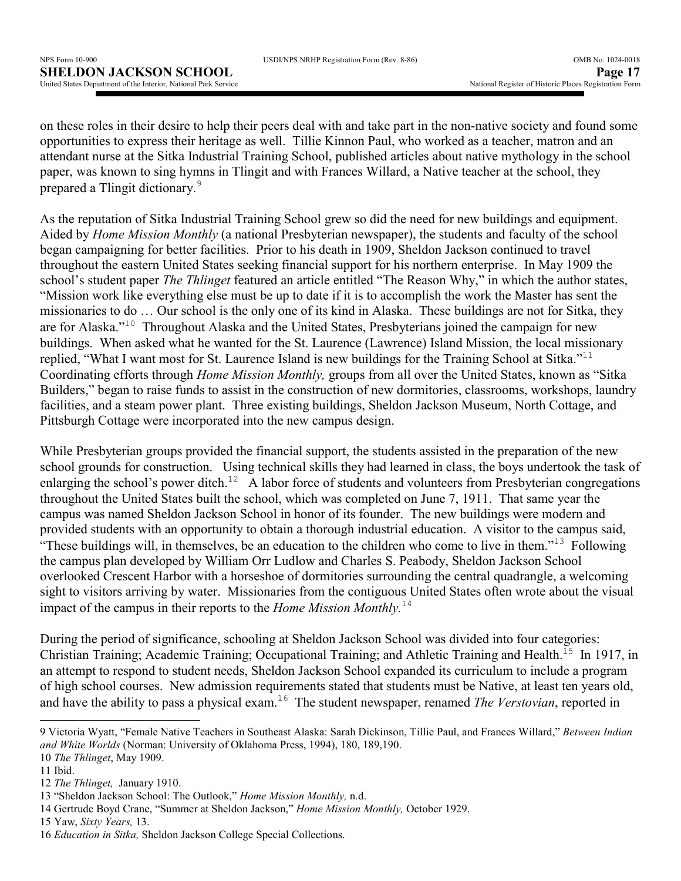on these roles in their desire to help their peers deal with and take part in the non-native society and found some opportunities to express their heritage as well. Tillie Kinnon Paul, who worked as a teacher, matron and an attendant nurse at the Sitka Industrial Training School, published articles about native mythology in the school paper, was known to sing hymns in Tlingit and with Frances Willard, a Native teacher at the school, they prepared a Tlingit dictionary.<sup>9</sup>

As the reputation of Sitka Industrial Training School grew so did the need for new buildings and equipment. Aided by *Home Mission Monthly* (a national Presbyterian newspaper), the students and faculty of the school began campaigning for better facilities. Prior to his death in 1909, Sheldon Jackson continued to travel throughout the eastern United States seeking financial support for his northern enterprise. In May 1909 the school's student paper *The Thlinget* featured an article entitled "The Reason Why," in which the author states, "Mission work like everything else must be up to date if it is to accomplish the work the Master has sent the missionaries to do … Our school is the only one of its kind in Alaska. These buildings are not for Sitka, they are for Alaska."<sup>10</sup> Throughout Alaska and the United States, Presbyterians joined the campaign for new buildings. When asked what he wanted for the St. Laurence (Lawrence) Island Mission, the local missionary replied, "What I want most for St. Laurence Island is new buildings for the Training School at Sitka."<sup>11</sup> Coordinating efforts through *Home Mission Monthly,* groups from all over the United States, known as "Sitka Builders," began to raise funds to assist in the construction of new dormitories, classrooms, workshops, laundry facilities, and a steam power plant. Three existing buildings, Sheldon Jackson Museum, North Cottage, and Pittsburgh Cottage were incorporated into the new campus design.

While Presbyterian groups provided the financial support, the students assisted in the preparation of the new school grounds for construction. Using technical skills they had learned in class, the boys undertook the task of enlarging the school's power ditch.<sup>12</sup> A labor force of students and volunteers from Presbyterian congregations throughout the United States built the school, which was completed on June 7, 1911. That same year the campus was named Sheldon Jackson School in honor of its founder. The new buildings were modern and provided students with an opportunity to obtain a thorough industrial education. A visitor to the campus said, "These buildings will, in themselves, be an education to the children who come to live in them."<sup>13</sup> Following the campus plan developed by William Orr Ludlow and Charles S. Peabody, Sheldon Jackson School overlooked Crescent Harbor with a horseshoe of dormitories surrounding the central quadrangle, a welcoming sight to visitors arriving by water. Missionaries from the contiguous United States often wrote about the visual impact of the campus in their reports to the *Home Mission Monthly.*<sup>14</sup>

During the period of significance, schooling at Sheldon Jackson School was divided into four categories: Christian Training; Academic Training; Occupational Training; and Athletic Training and Health.<sup>15</sup> In 1917, in an attempt to respond to student needs, Sheldon Jackson School expanded its curriculum to include a program of high school courses. New admission requirements stated that students must be Native, at least ten years old, and have the ability to pass a physical exam.<sup>16</sup> The student newspaper, renamed *The Verstovian*, reported in

 $\overline{a}$ 

15 Yaw, *Sixty Years,* 13.

<sup>9</sup> Victoria Wyatt, "Female Native Teachers in Southeast Alaska: Sarah Dickinson, Tillie Paul, and Frances Willard," *Between Indian and White Worlds* (Norman: University of Oklahoma Press, 1994), 180, 189,190.

<sup>10</sup> *The Thlinget*, May 1909.

<sup>11</sup> Ibid.

<sup>12</sup> *The Thlinget,* January 1910.

<sup>13 &</sup>quot;Sheldon Jackson School: The Outlook," *Home Mission Monthly,* n.d.

<sup>14</sup> Gertrude Boyd Crane, "Summer at Sheldon Jackson," *Home Mission Monthly,* October 1929.

<sup>16</sup> *Education in Sitka,* Sheldon Jackson College Special Collections.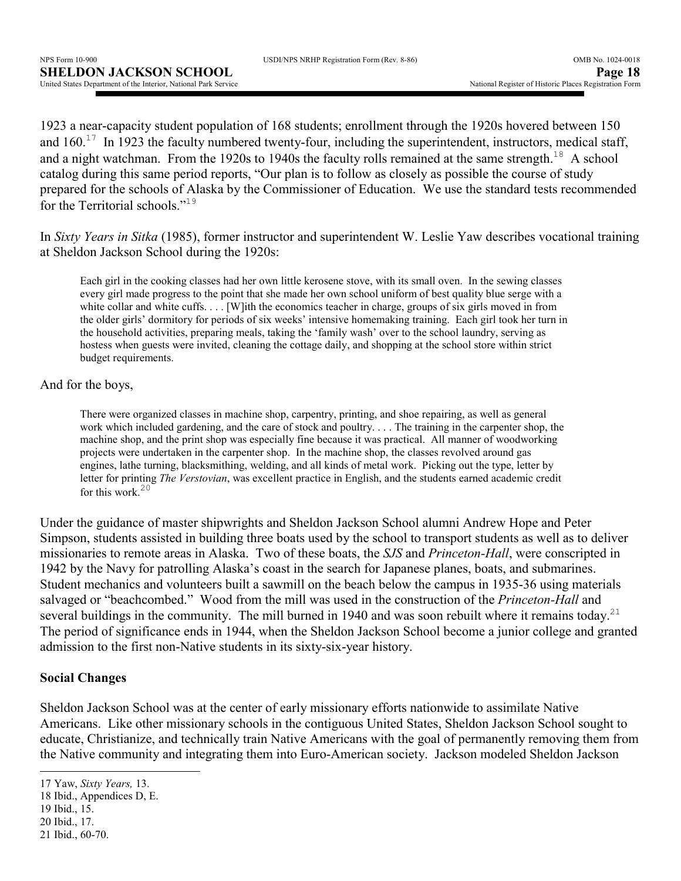|  | USDI/NPS NRHP Registration Form (Rev. 8-86) |  |  |
|--|---------------------------------------------|--|--|
|  |                                             |  |  |

1923 a near-capacity student population of 168 students; enrollment through the 1920s hovered between 150 and  $160<sup>17</sup>$  In 1923 the faculty numbered twenty-four, including the superintendent, instructors, medical staff, and a night watchman. From the 1920s to 1940s the faculty rolls remained at the same strength.<sup>18</sup> A school catalog during this same period reports, "Our plan is to follow as closely as possible the course of study prepared for the schools of Alaska by the Commissioner of Education. We use the standard tests recommended for the Territorial schools."<sup>19</sup>

In *Sixty Years in Sitka* (1985), former instructor and superintendent W. Leslie Yaw describes vocational training at Sheldon Jackson School during the 1920s:

Each girl in the cooking classes had her own little kerosene stove, with its small oven. In the sewing classes every girl made progress to the point that she made her own school uniform of best quality blue serge with a white collar and white cuffs. . . . [W]ith the economics teacher in charge, groups of six girls moved in from the older girls' dormitory for periods of six weeks' intensive homemaking training. Each girl took her turn in the household activities, preparing meals, taking the 'family wash' over to the school laundry, serving as hostess when guests were invited, cleaning the cottage daily, and shopping at the school store within strict budget requirements.

And for the boys,

There were organized classes in machine shop, carpentry, printing, and shoe repairing, as well as general work which included gardening, and the care of stock and poultry. . . . The training in the carpenter shop, the machine shop, and the print shop was especially fine because it was practical. All manner of woodworking projects were undertaken in the carpenter shop. In the machine shop, the classes revolved around gas engines, lathe turning, blacksmithing, welding, and all kinds of metal work. Picking out the type, letter by letter for printing *The Verstovian*, was excellent practice in English, and the students earned academic credit for this work. $20$ 

Under the guidance of master shipwrights and Sheldon Jackson School alumni Andrew Hope and Peter Simpson, students assisted in building three boats used by the school to transport students as well as to deliver missionaries to remote areas in Alaska. Two of these boats, the *SJS* and *Princeton-Hall*, were conscripted in 1942 by the Navy for patrolling Alaska's coast in the search for Japanese planes, boats, and submarines. Student mechanics and volunteers built a sawmill on the beach below the campus in 1935-36 using materials salvaged or "beachcombed." Wood from the mill was used in the construction of the *Princeton-Hall* and several buildings in the community. The mill burned in 1940 and was soon rebuilt where it remains today.<sup>21</sup> The period of significance ends in 1944, when the Sheldon Jackson School become a junior college and granted admission to the first non-Native students in its sixty-six-year history.

# **Social Changes**

Sheldon Jackson School was at the center of early missionary efforts nationwide to assimilate Native Americans. Like other missionary schools in the contiguous United States, Sheldon Jackson School sought to educate, Christianize, and technically train Native Americans with the goal of permanently removing them from the Native community and integrating them into Euro-American society. Jackson modeled Sheldon Jackson

 $\overline{\phantom{a}}$ 

<sup>17</sup> Yaw, *Sixty Years,* 13.

<sup>18</sup> Ibid., Appendices D, E.

<sup>19</sup> Ibid., 15.

<sup>20</sup> Ibid., 17. 21 Ibid., 60-70.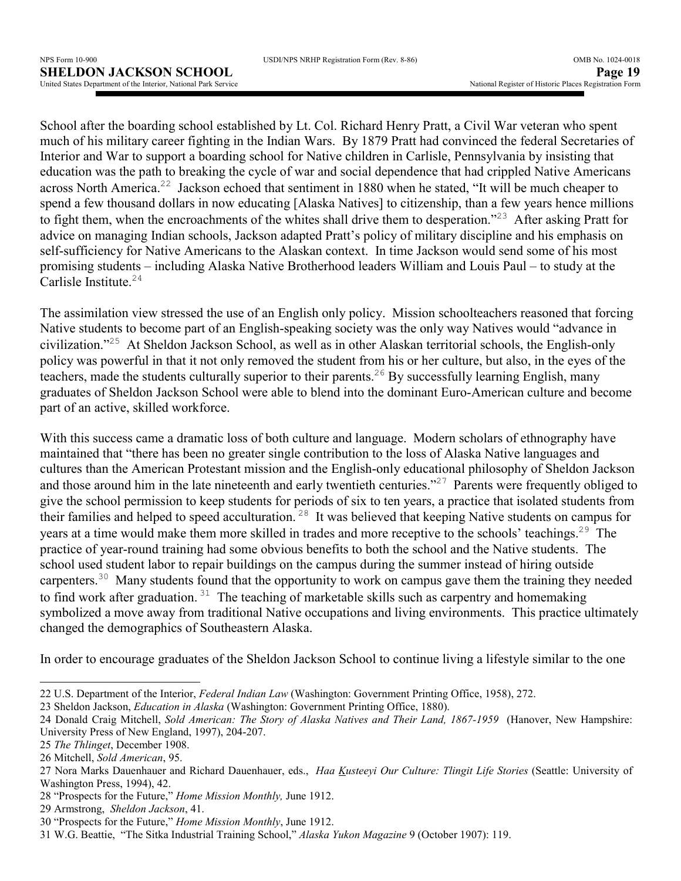School after the boarding school established by Lt. Col. Richard Henry Pratt, a Civil War veteran who spent much of his military career fighting in the Indian Wars. By 1879 Pratt had convinced the federal Secretaries of Interior and War to support a boarding school for Native children in Carlisle, Pennsylvania by insisting that education was the path to breaking the cycle of war and social dependence that had crippled Native Americans across North America.<sup>22</sup> Jackson echoed that sentiment in 1880 when he stated, "It will be much cheaper to spend a few thousand dollars in now educating [Alaska Natives] to citizenship, than a few years hence millions to fight them, when the encroachments of the whites shall drive them to desperation."<sup>23</sup> After asking Pratt for advice on managing Indian schools, Jackson adapted Pratt's policy of military discipline and his emphasis on self-sufficiency for Native Americans to the Alaskan context. In time Jackson would send some of his most promising students – including Alaska Native Brotherhood leaders William and Louis Paul – to study at the Carlisle Institute.<sup>24</sup>

The assimilation view stressed the use of an English only policy. Mission schoolteachers reasoned that forcing Native students to become part of an English-speaking society was the only way Natives would "advance in civilization."<sup>25</sup> At Sheldon Jackson School, as well as in other Alaskan territorial schools, the English-only policy was powerful in that it not only removed the student from his or her culture, but also, in the eyes of the teachers, made the students culturally superior to their parents.<sup>26</sup> By successfully learning English, many graduates of Sheldon Jackson School were able to blend into the dominant Euro-American culture and become part of an active, skilled workforce.

With this success came a dramatic loss of both culture and language. Modern scholars of ethnography have maintained that "there has been no greater single contribution to the loss of Alaska Native languages and cultures than the American Protestant mission and the English-only educational philosophy of Sheldon Jackson and those around him in the late nineteenth and early twentieth centuries."<sup>27</sup> Parents were frequently obliged to give the school permission to keep students for periods of six to ten years, a practice that isolated students from their families and helped to speed acculturation. <sup>28</sup> It was believed that keeping Native students on campus for years at a time would make them more skilled in trades and more receptive to the schools' teachings.<sup>29</sup> The practice of year-round training had some obvious benefits to both the school and the Native students. The school used student labor to repair buildings on the campus during the summer instead of hiring outside carpenters.<sup>30</sup> Many students found that the opportunity to work on campus gave them the training they needed to find work after graduation.  $31$  The teaching of marketable skills such as carpentry and homemaking symbolized a move away from traditional Native occupations and living environments. This practice ultimately changed the demographics of Southeastern Alaska.

In order to encourage graduates of the Sheldon Jackson School to continue living a lifestyle similar to the one

 $\overline{\phantom{a}}$ 

28 "Prospects for the Future," *Home Mission Monthly,* June 1912.

<sup>22</sup> U.S. Department of the Interior, *Federal Indian Law* (Washington: Government Printing Office, 1958), 272.

<sup>23</sup> Sheldon Jackson, *Education in Alaska* (Washington: Government Printing Office, 1880).

<sup>24</sup> Donald Craig Mitchell, *Sold American: The Story of Alaska Natives and Their Land, 1867-1959* (Hanover, New Hampshire: University Press of New England, 1997), 204-207.

<sup>25</sup> *The Thlinget*, December 1908.

<sup>26</sup> Mitchell, *Sold American*, 95.

<sup>27</sup> Nora Marks Dauenhauer and Richard Dauenhauer, eds., *Haa Kusteeyi Our Culture: Tlingit Life Stories* (Seattle: University of Washington Press, 1994), 42.

<sup>29</sup> Armstrong, *Sheldon Jackson*, 41.

<sup>30 &</sup>quot;Prospects for the Future," *Home Mission Monthly*, June 1912.

<sup>31</sup> W.G. Beattie, "The Sitka Industrial Training School," *Alaska Yukon Magazine* 9 (October 1907): 119.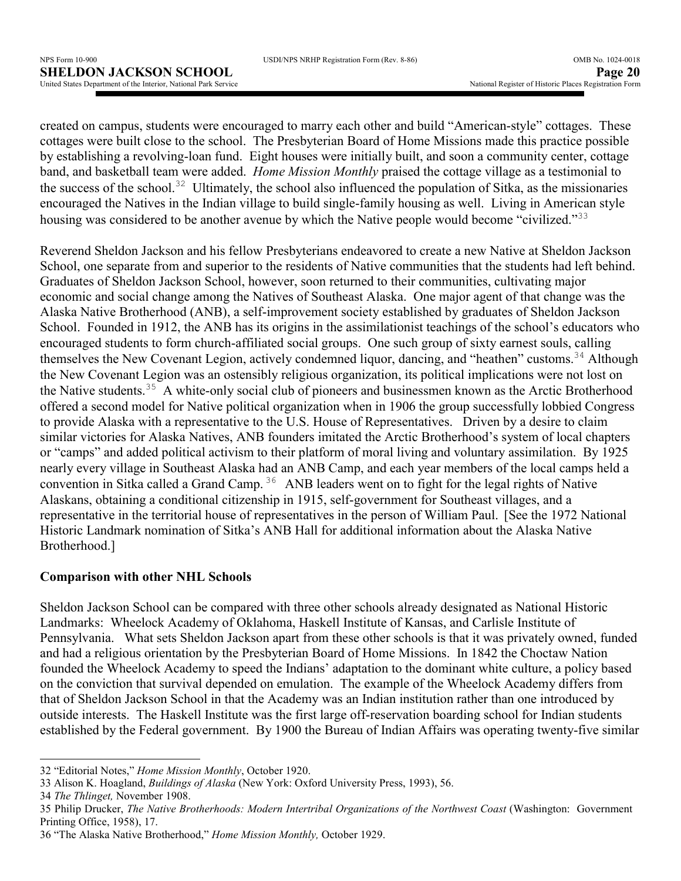created on campus, students were encouraged to marry each other and build "American-style" cottages. These cottages were built close to the school. The Presbyterian Board of Home Missions made this practice possible by establishing a revolving-loan fund. Eight houses were initially built, and soon a community center, cottage band, and basketball team were added. *Home Mission Monthly* praised the cottage village as a testimonial to the success of the school.<sup>32</sup> Ultimately, the school also influenced the population of Sitka, as the missionaries encouraged the Natives in the Indian village to build single-family housing as well. Living in American style housing was considered to be another avenue by which the Native people would become "civilized."<sup>33</sup>

Reverend Sheldon Jackson and his fellow Presbyterians endeavored to create a new Native at Sheldon Jackson School, one separate from and superior to the residents of Native communities that the students had left behind. Graduates of Sheldon Jackson School, however, soon returned to their communities, cultivating major economic and social change among the Natives of Southeast Alaska. One major agent of that change was the Alaska Native Brotherhood (ANB), a self-improvement society established by graduates of Sheldon Jackson School. Founded in 1912, the ANB has its origins in the assimilationist teachings of the school's educators who encouraged students to form church-affiliated social groups. One such group of sixty earnest souls, calling themselves the New Covenant Legion, actively condemned liquor, dancing, and "heathen" customs.<sup>34</sup> Although the New Covenant Legion was an ostensibly religious organization, its political implications were not lost on the Native students.<sup>35</sup> A white-only social club of pioneers and businessmen known as the Arctic Brotherhood offered a second model for Native political organization when in 1906 the group successfully lobbied Congress to provide Alaska with a representative to the U.S. House of Representatives. Driven by a desire to claim similar victories for Alaska Natives, ANB founders imitated the Arctic Brotherhood's system of local chapters or "camps" and added political activism to their platform of moral living and voluntary assimilation. By 1925 nearly every village in Southeast Alaska had an ANB Camp, and each year members of the local camps held a convention in Sitka called a Grand Camp.<sup>36</sup> ANB leaders went on to fight for the legal rights of Native Alaskans, obtaining a conditional citizenship in 1915, self-government for Southeast villages, and a representative in the territorial house of representatives in the person of William Paul. [See the 1972 National Historic Landmark nomination of Sitka's ANB Hall for additional information about the Alaska Native Brotherhood.]

### **Comparison with other NHL Schools**

Sheldon Jackson School can be compared with three other schools already designated as National Historic Landmarks: Wheelock Academy of Oklahoma, Haskell Institute of Kansas, and Carlisle Institute of Pennsylvania. What sets Sheldon Jackson apart from these other schools is that it was privately owned, funded and had a religious orientation by the Presbyterian Board of Home Missions. In 1842 the Choctaw Nation founded the Wheelock Academy to speed the Indians' adaptation to the dominant white culture, a policy based on the conviction that survival depended on emulation. The example of the Wheelock Academy differs from that of Sheldon Jackson School in that the Academy was an Indian institution rather than one introduced by outside interests. The Haskell Institute was the first large off-reservation boarding school for Indian students established by the Federal government. By 1900 the Bureau of Indian Affairs was operating twenty-five similar

 $\overline{\phantom{a}}$ 

<sup>32 &</sup>quot;Editorial Notes," *Home Mission Monthly*, October 1920.

<sup>33</sup> Alison K. Hoagland, *Buildings of Alaska* (New York: Oxford University Press, 1993), 56.

<sup>34</sup> *The Thlinget,* November 1908.

<sup>35</sup> Philip Drucker, *The Native Brotherhoods: Modern Intertribal Organizations of the Northwest Coast* (Washington: Government Printing Office, 1958), 17.

<sup>36 &</sup>quot;The Alaska Native Brotherhood," *Home Mission Monthly,* October 1929.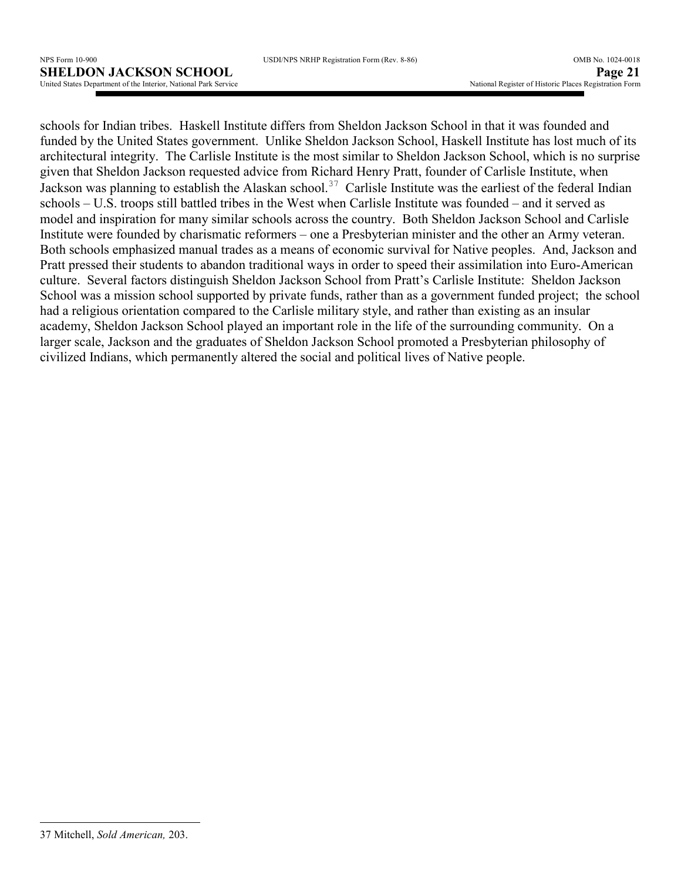schools for Indian tribes. Haskell Institute differs from Sheldon Jackson School in that it was founded and funded by the United States government. Unlike Sheldon Jackson School, Haskell Institute has lost much of its architectural integrity. The Carlisle Institute is the most similar to Sheldon Jackson School, which is no surprise given that Sheldon Jackson requested advice from Richard Henry Pratt, founder of Carlisle Institute, when Jackson was planning to establish the Alaskan school.<sup>37</sup> Carlisle Institute was the earliest of the federal Indian schools – U.S. troops still battled tribes in the West when Carlisle Institute was founded – and it served as model and inspiration for many similar schools across the country. Both Sheldon Jackson School and Carlisle Institute were founded by charismatic reformers – one a Presbyterian minister and the other an Army veteran. Both schools emphasized manual trades as a means of economic survival for Native peoples. And, Jackson and Pratt pressed their students to abandon traditional ways in order to speed their assimilation into Euro-American culture. Several factors distinguish Sheldon Jackson School from Pratt's Carlisle Institute: Sheldon Jackson School was a mission school supported by private funds, rather than as a government funded project; the school had a religious orientation compared to the Carlisle military style, and rather than existing as an insular academy, Sheldon Jackson School played an important role in the life of the surrounding community. On a larger scale, Jackson and the graduates of Sheldon Jackson School promoted a Presbyterian philosophy of civilized Indians, which permanently altered the social and political lives of Native people.

 $\overline{a}$ 

<sup>37</sup> Mitchell, *Sold American,* 203.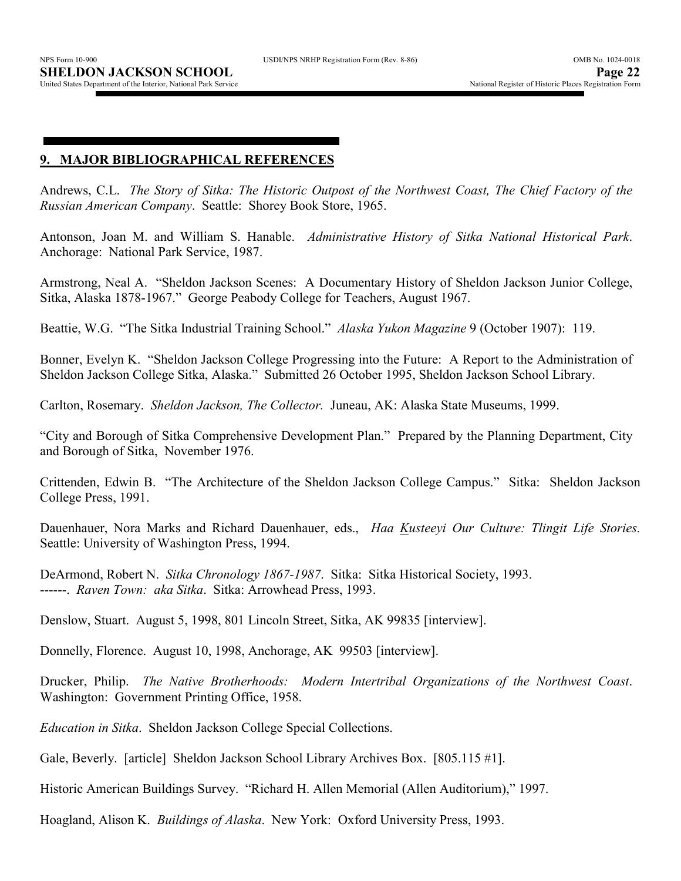### **9. MAJOR BIBLIOGRAPHICAL REFERENCES**

Andrews, C.L. *The Story of Sitka: The Historic Outpost of the Northwest Coast, The Chief Factory of the Russian American Company*. Seattle: Shorey Book Store, 1965.

Antonson, Joan M. and William S. Hanable. *Administrative History of Sitka National Historical Park*. Anchorage: National Park Service, 1987.

Armstrong, Neal A. "Sheldon Jackson Scenes: A Documentary History of Sheldon Jackson Junior College, Sitka, Alaska 1878-1967." George Peabody College for Teachers, August 1967.

Beattie, W.G. "The Sitka Industrial Training School." *Alaska Yukon Magazine* 9 (October 1907): 119.

Bonner, Evelyn K. "Sheldon Jackson College Progressing into the Future: A Report to the Administration of Sheldon Jackson College Sitka, Alaska." Submitted 26 October 1995, Sheldon Jackson School Library.

Carlton, Rosemary. *Sheldon Jackson, The Collector.* Juneau, AK: Alaska State Museums, 1999.

"City and Borough of Sitka Comprehensive Development Plan." Prepared by the Planning Department, City and Borough of Sitka, November 1976.

Crittenden, Edwin B. "The Architecture of the Sheldon Jackson College Campus." Sitka: Sheldon Jackson College Press, 1991.

Dauenhauer, Nora Marks and Richard Dauenhauer, eds., *Haa Kusteeyi Our Culture: Tlingit Life Stories.* Seattle: University of Washington Press, 1994.

DeArmond, Robert N. *Sitka Chronology 1867-1987*. Sitka: Sitka Historical Society, 1993. ------. *Raven Town: aka Sitka*. Sitka: Arrowhead Press, 1993.

Denslow, Stuart. August 5, 1998, 801 Lincoln Street, Sitka, AK 99835 [interview].

Donnelly, Florence. August 10, 1998, Anchorage, AK 99503 [interview].

Drucker, Philip. *The Native Brotherhoods: Modern Intertribal Organizations of the Northwest Coast*. Washington: Government Printing Office, 1958.

*Education in Sitka*. Sheldon Jackson College Special Collections.

Gale, Beverly. [article] Sheldon Jackson School Library Archives Box. [805.115 #1].

Historic American Buildings Survey. "Richard H. Allen Memorial (Allen Auditorium)," 1997.

Hoagland, Alison K. *Buildings of Alaska*. New York: Oxford University Press, 1993.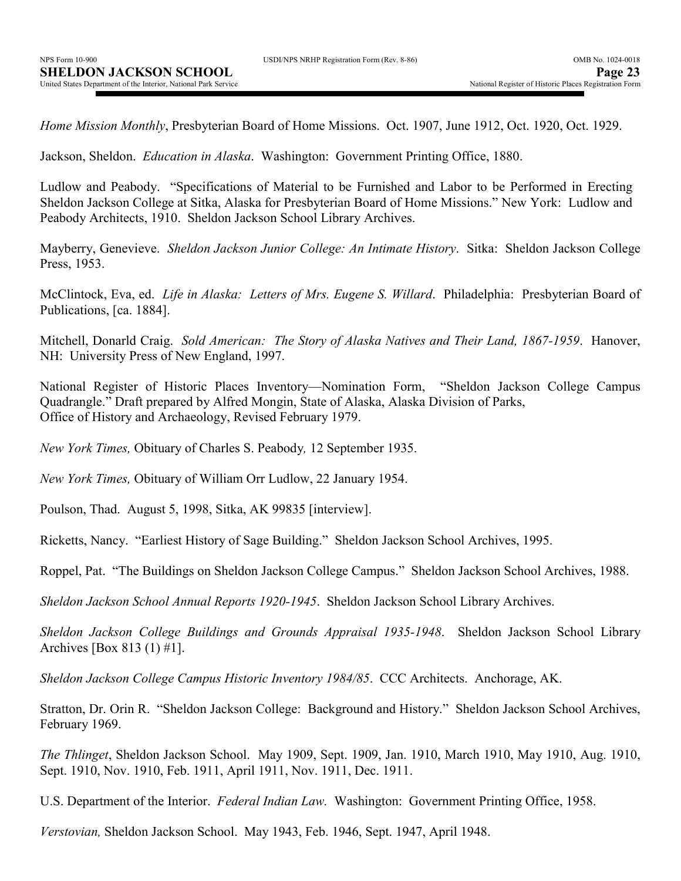| USDI/NPS NRHP Registration Form (Rev. 8-86) |  |  |  |
|---------------------------------------------|--|--|--|
|                                             |  |  |  |

*Home Mission Monthly*, Presbyterian Board of Home Missions. Oct. 1907, June 1912, Oct. 1920, Oct. 1929.

Jackson, Sheldon. *Education in Alaska*. Washington: Government Printing Office, 1880.

Ludlow and Peabody. "Specifications of Material to be Furnished and Labor to be Performed in Erecting Sheldon Jackson College at Sitka, Alaska for Presbyterian Board of Home Missions." New York: Ludlow and Peabody Architects, 1910. Sheldon Jackson School Library Archives.

Mayberry, Genevieve. *Sheldon Jackson Junior College: An Intimate History*. Sitka: Sheldon Jackson College Press, 1953.

McClintock, Eva, ed. *Life in Alaska: Letters of Mrs. Eugene S. Willard*. Philadelphia: Presbyterian Board of Publications, [ca. 1884].

Mitchell, Donarld Craig. *Sold American: The Story of Alaska Natives and Their Land, 1867-1959*. Hanover, NH: University Press of New England, 1997.

National Register of Historic Places Inventory—Nomination Form, "Sheldon Jackson College Campus Quadrangle." Draft prepared by Alfred Mongin, State of Alaska, Alaska Division of Parks, Office of History and Archaeology, Revised February 1979.

*New York Times,* Obituary of Charles S. Peabody*,* 12 September 1935.

*New York Times,* Obituary of William Orr Ludlow, 22 January 1954.

Poulson, Thad. August 5, 1998, Sitka, AK 99835 [interview].

Ricketts, Nancy. "Earliest History of Sage Building." Sheldon Jackson School Archives, 1995.

Roppel, Pat. "The Buildings on Sheldon Jackson College Campus." Sheldon Jackson School Archives, 1988.

*Sheldon Jackson School Annual Reports 1920-1945*. Sheldon Jackson School Library Archives.

*Sheldon Jackson College Buildings and Grounds Appraisal 1935-1948*. Sheldon Jackson School Library Archives [Box 813 (1) #1].

*Sheldon Jackson College Campus Historic Inventory 1984/85*. CCC Architects. Anchorage, AK.

Stratton, Dr. Orin R. "Sheldon Jackson College: Background and History." Sheldon Jackson School Archives, February 1969.

*The Thlinget*, Sheldon Jackson School. May 1909, Sept. 1909, Jan. 1910, March 1910, May 1910, Aug. 1910, Sept. 1910, Nov. 1910, Feb. 1911, April 1911, Nov. 1911, Dec. 1911.

U.S. Department of the Interior. *Federal Indian Law.* Washington: Government Printing Office, 1958.

*Verstovian,* Sheldon Jackson School. May 1943, Feb. 1946, Sept. 1947, April 1948.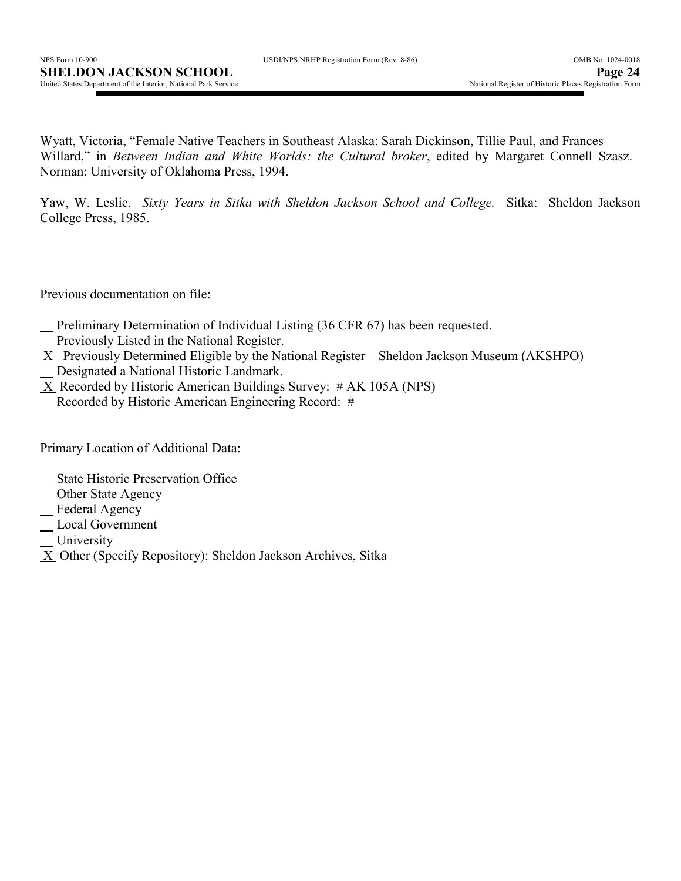|  | USDI/NPS NRHP Registration Form (Rev. 8-86) |  |  |
|--|---------------------------------------------|--|--|
|  |                                             |  |  |

Wyatt, Victoria, "Female Native Teachers in Southeast Alaska: Sarah Dickinson, Tillie Paul, and Frances Willard," in *Between Indian and White Worlds: the Cultural broker*, edited by Margaret Connell Szasz. Norman: University of Oklahoma Press, 1994.

Yaw, W. Leslie. *Sixty Years in Sitka with Sheldon Jackson School and College.* Sitka: Sheldon Jackson College Press, 1985.

Previous documentation on file:

- Preliminary Determination of Individual Listing (36 CFR 67) has been requested.
- Previously Listed in the National Register.
- X Previously Determined Eligible by the National Register Sheldon Jackson Museum (AKSHPO) Designated a National Historic Landmark.
- $X$  Recorded by Historic American Buildings Survey: # AK 105A (NPS)
- Recorded by Historic American Engineering Record: #

Primary Location of Additional Data:

- State Historic Preservation Office
- Other State Agency
- Federal Agency
- Local Government
- University
- X Other (Specify Repository): Sheldon Jackson Archives, Sitka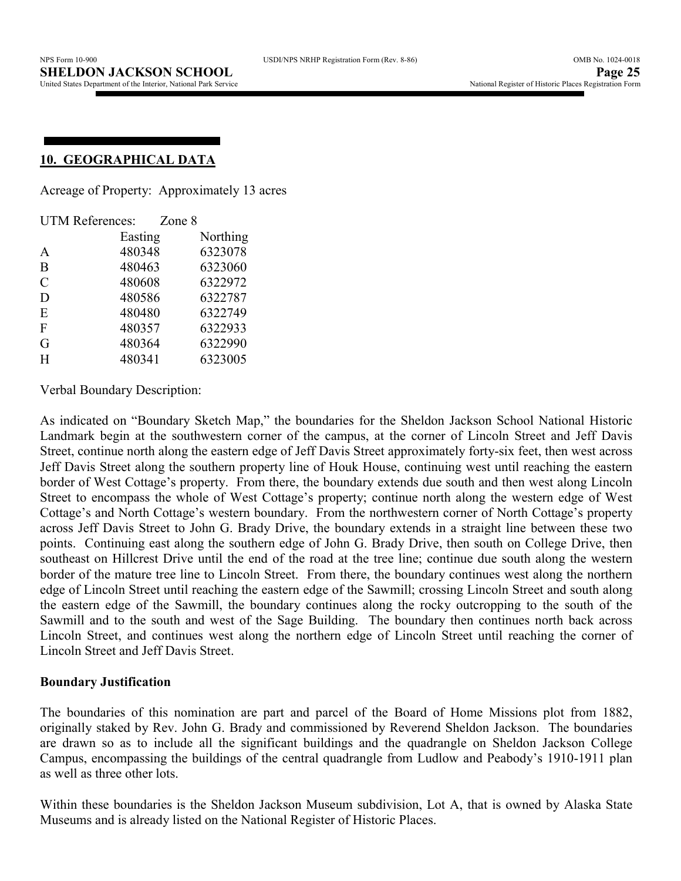## **10. GEOGRAPHICAL DATA**

Acreage of Property: Approximately 13 acres

| <b>UTM References:</b> |         | Zone 8 |          |
|------------------------|---------|--------|----------|
|                        | Easting |        | Northing |
| A                      | 480348  |        | 6323078  |
| B                      | 480463  |        | 6323060  |
| $\mathcal{C}$          | 480608  |        | 6322972  |
| D                      | 480586  |        | 6322787  |
| E                      | 480480  |        | 6322749  |
| F                      | 480357  |        | 6322933  |
| G                      | 480364  |        | 6322990  |
| H                      | 480341  |        | 6323005  |

Verbal Boundary Description:

As indicated on "Boundary Sketch Map," the boundaries for the Sheldon Jackson School National Historic Landmark begin at the southwestern corner of the campus, at the corner of Lincoln Street and Jeff Davis Street, continue north along the eastern edge of Jeff Davis Street approximately forty-six feet, then west across Jeff Davis Street along the southern property line of Houk House, continuing west until reaching the eastern border of West Cottage's property. From there, the boundary extends due south and then west along Lincoln Street to encompass the whole of West Cottage's property; continue north along the western edge of West Cottage's and North Cottage's western boundary. From the northwestern corner of North Cottage's property across Jeff Davis Street to John G. Brady Drive, the boundary extends in a straight line between these two points. Continuing east along the southern edge of John G. Brady Drive, then south on College Drive, then southeast on Hillcrest Drive until the end of the road at the tree line; continue due south along the western border of the mature tree line to Lincoln Street. From there, the boundary continues west along the northern edge of Lincoln Street until reaching the eastern edge of the Sawmill; crossing Lincoln Street and south along the eastern edge of the Sawmill, the boundary continues along the rocky outcropping to the south of the Sawmill and to the south and west of the Sage Building. The boundary then continues north back across Lincoln Street, and continues west along the northern edge of Lincoln Street until reaching the corner of Lincoln Street and Jeff Davis Street.

### **Boundary Justification**

The boundaries of this nomination are part and parcel of the Board of Home Missions plot from 1882, originally staked by Rev. John G. Brady and commissioned by Reverend Sheldon Jackson. The boundaries are drawn so as to include all the significant buildings and the quadrangle on Sheldon Jackson College Campus, encompassing the buildings of the central quadrangle from Ludlow and Peabody's 1910-1911 plan as well as three other lots.

Within these boundaries is the Sheldon Jackson Museum subdivision, Lot A, that is owned by Alaska State Museums and is already listed on the National Register of Historic Places.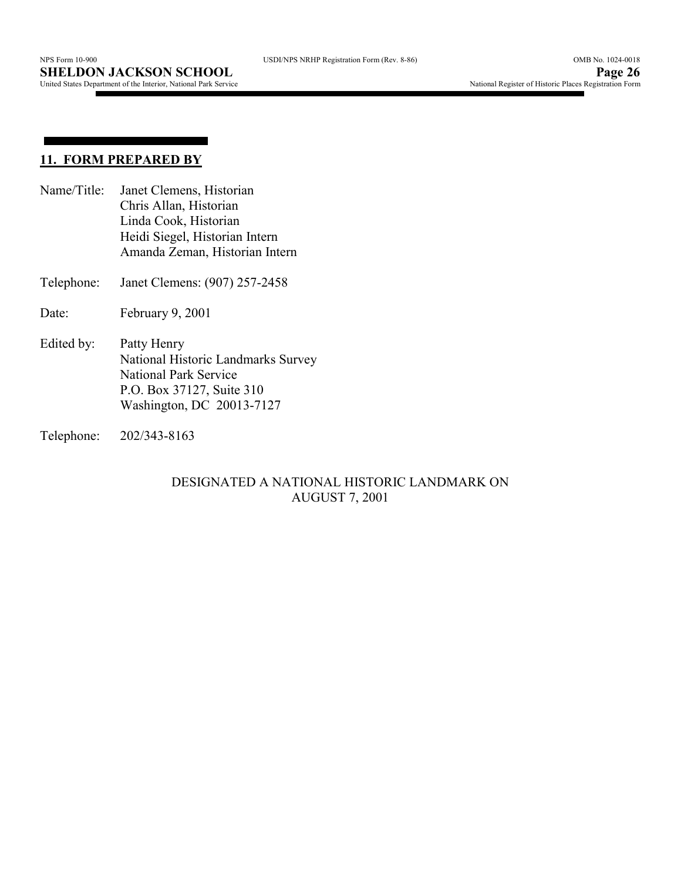## **11. FORM PREPARED BY**

**College** 

- Name/Title: Janet Clemens, Historian Chris Allan, Historian Linda Cook, Historian Heidi Siegel, Historian Intern Amanda Zeman, Historian Intern
- Telephone: Janet Clemens: (907) 257-2458
- Date: February 9, 2001
- Edited by: Patty Henry National Historic Landmarks Survey National Park Service P.O. Box 37127, Suite 310 Washington, DC 20013-7127
- Telephone: 202/343-8163

### DESIGNATED A NATIONAL HISTORIC LANDMARK ON AUGUST 7, 2001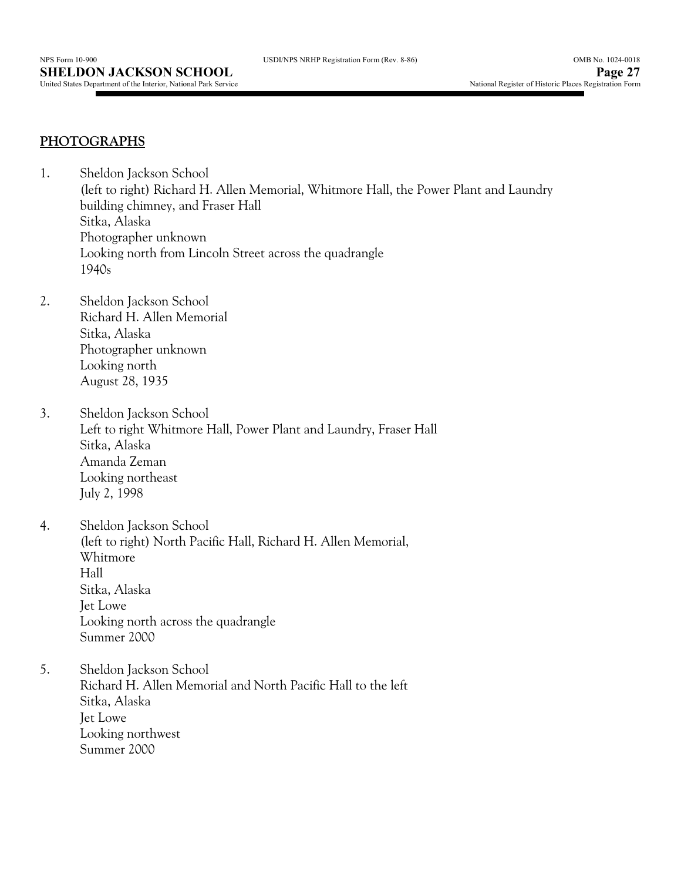## **PHOTOGRAPHS**

- 1. Sheldon Jackson School (left to right) Richard H. Allen Memorial, Whitmore Hall, the Power Plant and Laundry building chimney, and Fraser Hall Sitka, Alaska Photographer unknown Looking north from Lincoln Street across the quadrangle 1940s
- 2. Sheldon Jackson School Richard H. Allen Memorial Sitka, Alaska Photographer unknown Looking north August 28, 1935
- 3. Sheldon Jackson School Left to right Whitmore Hall, Power Plant and Laundry, Fraser Hall Sitka, Alaska Amanda Zeman Looking northeast July 2, 1998
- 4. Sheldon Jackson School (left to right) North Pacific Hall, Richard H. Allen Memorial, Whitmore Hall Sitka, Alaska Jet Lowe Looking north across the quadrangle Summer 2000
- 5. Sheldon Jackson School Richard H. Allen Memorial and North Pacific Hall to the left Sitka, Alaska Jet Lowe Looking northwest Summer 2000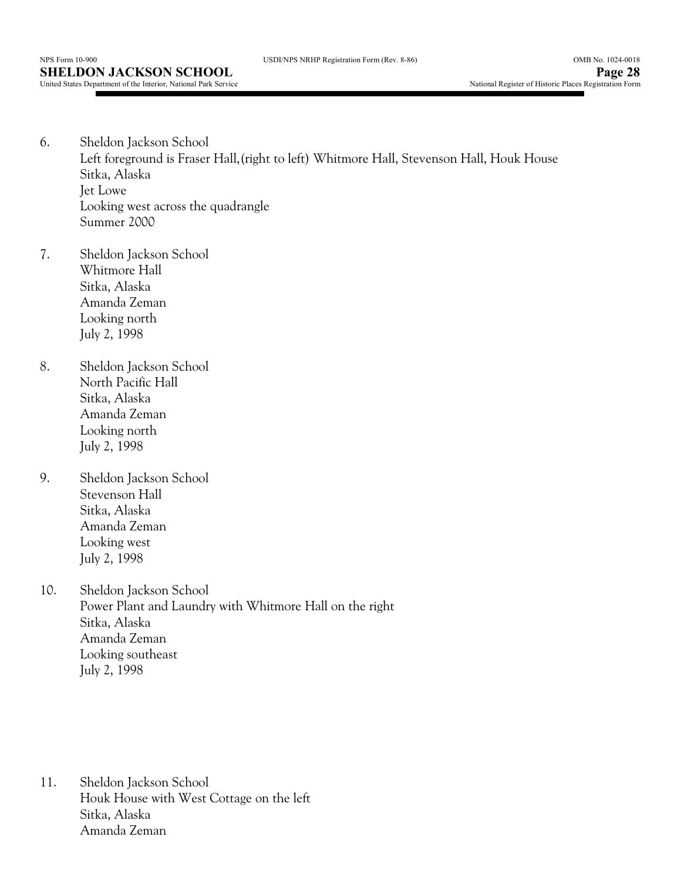- 6. Sheldon Jackson School Left foreground is Fraser Hall,(right to left) Whitmore Hall, Stevenson Hall, Houk House Sitka, Alaska Jet Lowe Looking west across the quadrangle Summer 2000
- 7. Sheldon Jackson School Whitmore Hall Sitka, Alaska Amanda Zeman Looking north July 2, 1998
- 8. Sheldon Jackson School North Pacific Hall Sitka, Alaska Amanda Zeman Looking north July 2, 1998
- 9. Sheldon Jackson School Stevenson Hall Sitka, Alaska Amanda Zeman Looking west July 2, 1998
- 10. Sheldon Jackson School Power Plant and Laundry with Whitmore Hall on the right Sitka, Alaska Amanda Zeman Looking southeast July 2, 1998

11. Sheldon Jackson School Houk House with West Cottage on the left Sitka, Alaska Amanda Zeman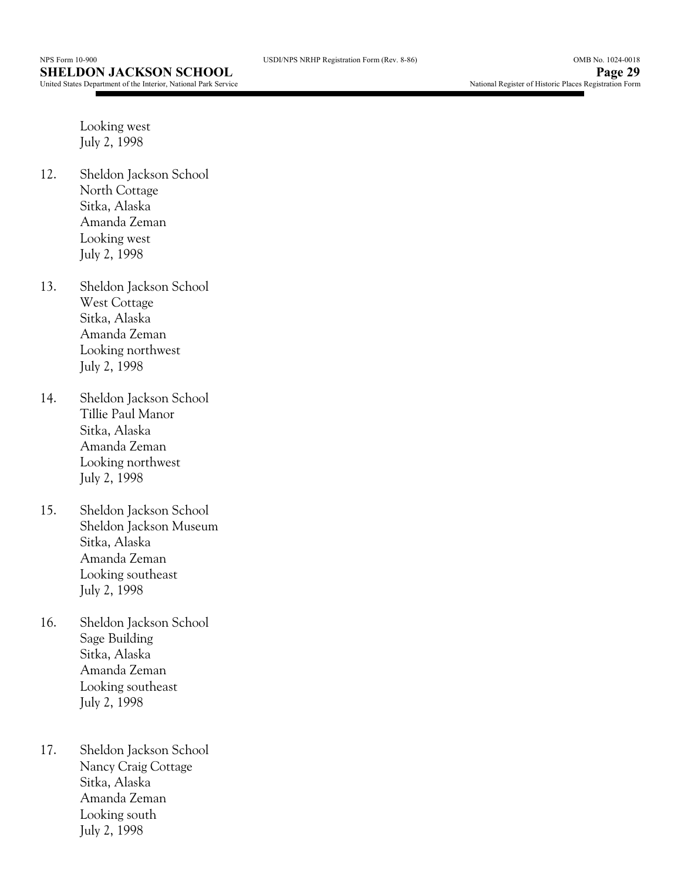Looking west July 2, 1998

- 12. Sheldon Jackson School North Cottage Sitka, Alaska Amanda Zeman Looking west July 2, 1998
- 13. Sheldon Jackson School West Cottage Sitka, Alaska Amanda Zeman Looking northwest July 2, 1998
- 14. Sheldon Jackson School Tillie Paul Manor Sitka, Alaska Amanda Zeman Looking northwest July 2, 1998
- 15. Sheldon Jackson School Sheldon Jackson Museum Sitka, Alaska Amanda Zeman Looking southeast July 2, 1998
- 16. Sheldon Jackson School Sage Building Sitka, Alaska Amanda Zeman Looking southeast July 2, 1998
- 17. Sheldon Jackson School Nancy Craig Cottage Sitka, Alaska Amanda Zeman Looking south July 2, 1998